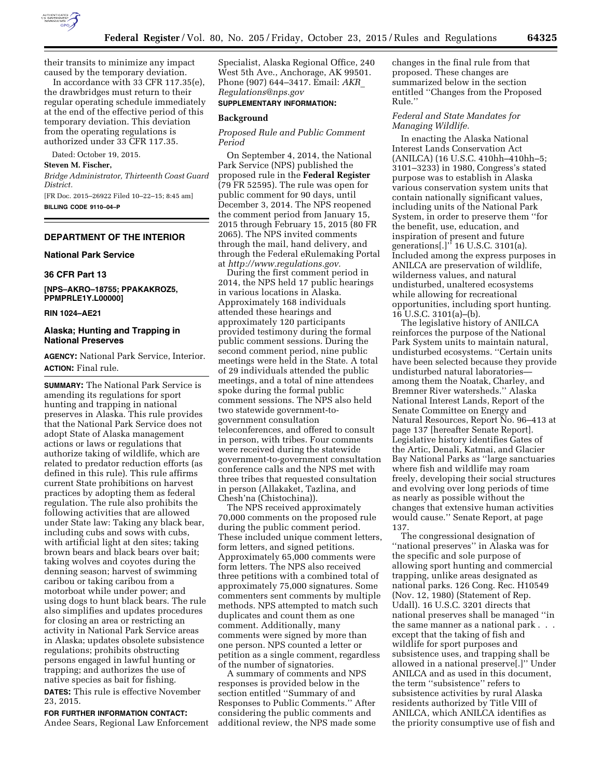

their transits to minimize any impact caused by the temporary deviation.

In accordance with 33 CFR 117.35(e), the drawbridges must return to their regular operating schedule immediately at the end of the effective period of this temporary deviation. This deviation from the operating regulations is authorized under 33 CFR 117.35.

Dated: October 19, 2015.

#### **Steven M. Fischer,**

*Bridge Administrator, Thirteenth Coast Guard District.* 

[FR Doc. 2015–26922 Filed 10–22–15; 8:45 am] **BILLING CODE 9110–04–P** 

## **DEPARTMENT OF THE INTERIOR**

### **National Park Service**

## **36 CFR Part 13**

**[NPS–AKRO–18755; PPAKAKROZ5, PPMPRLE1Y.L00000]** 

#### **RIN 1024–AE21**

### **Alaska; Hunting and Trapping in National Preserves**

**AGENCY:** National Park Service, Interior. **ACTION:** Final rule.

**SUMMARY:** The National Park Service is amending its regulations for sport hunting and trapping in national preserves in Alaska. This rule provides that the National Park Service does not adopt State of Alaska management actions or laws or regulations that authorize taking of wildlife, which are related to predator reduction efforts (as defined in this rule). This rule affirms current State prohibitions on harvest practices by adopting them as federal regulation. The rule also prohibits the following activities that are allowed under State law: Taking any black bear, including cubs and sows with cubs, with artificial light at den sites; taking brown bears and black bears over bait; taking wolves and coyotes during the denning season; harvest of swimming caribou or taking caribou from a motorboat while under power; and using dogs to hunt black bears. The rule also simplifies and updates procedures for closing an area or restricting an activity in National Park Service areas in Alaska; updates obsolete subsistence regulations; prohibits obstructing persons engaged in lawful hunting or trapping; and authorizes the use of native species as bait for fishing.

**DATES:** This rule is effective November 23, 2015.

**FOR FURTHER INFORMATION CONTACT:**  Andee Sears, Regional Law Enforcement Specialist, Alaska Regional Office, 240 West 5th Ave., Anchorage, AK 99501. Phone (907) 644–3417. Email: *[AKR](mailto:AKR_Regulations@nps.gov)*\_ *[Regulations@nps.gov](mailto:AKR_Regulations@nps.gov)* 

## **SUPPLEMENTARY INFORMATION:**

## **Background**

### *Proposed Rule and Public Comment Period*

On September 4, 2014, the National Park Service (NPS) published the proposed rule in the **Federal Register**  (79 FR 52595). The rule was open for public comment for 90 days, until December 3, 2014. The NPS reopened the comment period from January 15, 2015 through February 15, 2015 (80 FR 2065). The NPS invited comments through the mail, hand delivery, and through the Federal eRulemaking Portal at *[http://www.regulations.gov.](http://www.regulations.gov)* 

During the first comment period in 2014, the NPS held 17 public hearings in various locations in Alaska. Approximately 168 individuals attended these hearings and approximately 120 participants provided testimony during the formal public comment sessions. During the second comment period, nine public meetings were held in the State. A total of 29 individuals attended the public meetings, and a total of nine attendees spoke during the formal public comment sessions. The NPS also held two statewide government-togovernment consultation teleconferences, and offered to consult in person, with tribes. Four comments were received during the statewide government-to-government consultation conference calls and the NPS met with three tribes that requested consultation in person (Allakaket, Tazlina, and Chesh'na (Chistochina)).

The NPS received approximately 70,000 comments on the proposed rule during the public comment period. These included unique comment letters, form letters, and signed petitions. Approximately 65,000 comments were form letters. The NPS also received three petitions with a combined total of approximately 75,000 signatures. Some commenters sent comments by multiple methods. NPS attempted to match such duplicates and count them as one comment. Additionally, many comments were signed by more than one person. NPS counted a letter or petition as a single comment, regardless of the number of signatories.

A summary of comments and NPS responses is provided below in the section entitled ''Summary of and Responses to Public Comments.'' After considering the public comments and additional review, the NPS made some changes in the final rule from that proposed. These changes are summarized below in the section entitled ''Changes from the Proposed Rule.''

### *Federal and State Mandates for Managing Wildlife.*

In enacting the Alaska National Interest Lands Conservation Act (ANILCA) (16 U.S.C. 410hh–410hh–5; 3101–3233) in 1980, Congress's stated purpose was to establish in Alaska various conservation system units that contain nationally significant values, including units of the National Park System, in order to preserve them ''for the benefit, use, education, and inspiration of present and future generations[.]'' 16 U.S.C. 3101(a). Included among the express purposes in ANILCA are preservation of wildlife, wilderness values, and natural undisturbed, unaltered ecosystems while allowing for recreational opportunities, including sport hunting. 16 U.S.C. 3101(a)–(b).

The legislative history of ANILCA reinforces the purpose of the National Park System units to maintain natural, undisturbed ecosystems. ''Certain units have been selected because they provide undisturbed natural laboratories among them the Noatak, Charley, and Bremner River watersheds.'' Alaska National Interest Lands, Report of the Senate Committee on Energy and Natural Resources, Report No. 96–413 at page 137 [hereafter Senate Report]. Legislative history identifies Gates of the Artic, Denali, Katmai, and Glacier Bay National Parks as ''large sanctuaries where fish and wildlife may roam freely, developing their social structures and evolving over long periods of time as nearly as possible without the changes that extensive human activities would cause.'' Senate Report, at page 137.

The congressional designation of ''national preserves'' in Alaska was for the specific and sole purpose of allowing sport hunting and commercial trapping, unlike areas designated as national parks. 126 Cong. Rec. H10549 (Nov. 12, 1980) (Statement of Rep. Udall). 16 U.S.C. 3201 directs that national preserves shall be managed ''in the same manner as a national park . . . except that the taking of fish and wildlife for sport purposes and subsistence uses, and trapping shall be allowed in a national preserve[.]'' Under ANILCA and as used in this document, the term ''subsistence'' refers to subsistence activities by rural Alaska residents authorized by Title VIII of ANILCA, which ANILCA identifies as the priority consumptive use of fish and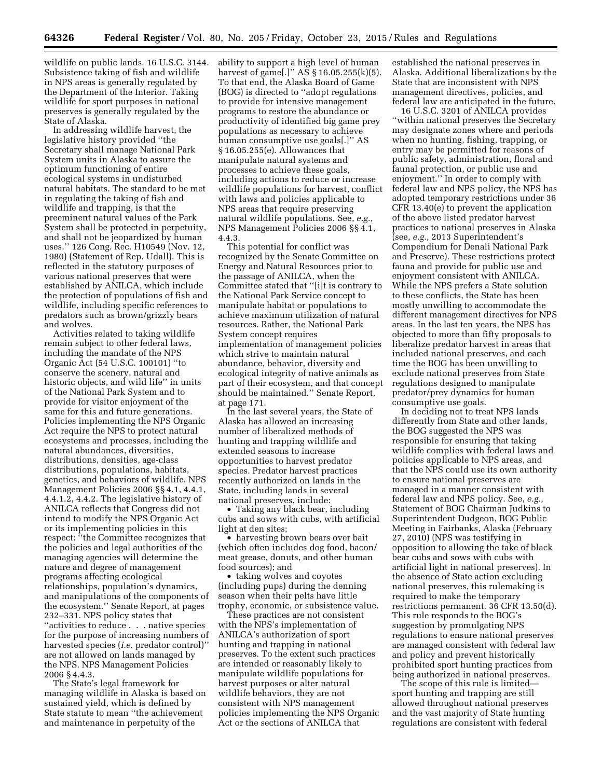wildlife on public lands. 16 U.S.C. 3144. Subsistence taking of fish and wildlife in NPS areas is generally regulated by the Department of the Interior. Taking wildlife for sport purposes in national preserves is generally regulated by the State of Alaska.

In addressing wildlife harvest, the legislative history provided ''the Secretary shall manage National Park System units in Alaska to assure the optimum functioning of entire ecological systems in undisturbed natural habitats. The standard to be met in regulating the taking of fish and wildlife and trapping, is that the preeminent natural values of the Park System shall be protected in perpetuity, and shall not be jeopardized by human uses.'' 126 Cong. Rec. H10549 (Nov. 12, 1980) (Statement of Rep. Udall). This is reflected in the statutory purposes of various national preserves that were established by ANILCA, which include the protection of populations of fish and wildlife, including specific references to predators such as brown/grizzly bears and wolves.

Activities related to taking wildlife remain subject to other federal laws, including the mandate of the NPS Organic Act (54 U.S.C. 100101) ''to conserve the scenery, natural and historic objects, and wild life'' in units of the National Park System and to provide for visitor enjoyment of the same for this and future generations. Policies implementing the NPS Organic Act require the NPS to protect natural ecosystems and processes, including the natural abundances, diversities, distributions, densities, age-class distributions, populations, habitats, genetics, and behaviors of wildlife. NPS Management Policies 2006 §§ 4.1, 4.4.1, 4.4.1.2, 4.4.2. The legislative history of ANILCA reflects that Congress did not intend to modify the NPS Organic Act or its implementing policies in this respect: ''the Committee recognizes that the policies and legal authorities of the managing agencies will determine the nature and degree of management programs affecting ecological relationships, population's dynamics, and manipulations of the components of the ecosystem.'' Senate Report, at pages 232–331. NPS policy states that ''activities to reduce . . . native species for the purpose of increasing numbers of harvested species (*i.e.* predator control)'' are not allowed on lands managed by the NPS. NPS Management Policies 2006 § 4.4.3.

The State's legal framework for managing wildlife in Alaska is based on sustained yield, which is defined by State statute to mean ''the achievement and maintenance in perpetuity of the

ability to support a high level of human harvest of game[.]'' AS § 16.05.255(k)(5). To that end, the Alaska Board of Game (BOG) is directed to ''adopt regulations to provide for intensive management programs to restore the abundance or productivity of identified big game prey populations as necessary to achieve human consumptive use goals[.]'' AS § 16.05.255(e). Allowances that manipulate natural systems and processes to achieve these goals, including actions to reduce or increase wildlife populations for harvest, conflict with laws and policies applicable to NPS areas that require preserving natural wildlife populations. See, *e.g.,*  NPS Management Policies 2006 §§ 4.1, 4.4.3.

This potential for conflict was recognized by the Senate Committee on Energy and Natural Resources prior to the passage of ANILCA, when the Committee stated that ''[i]t is contrary to the National Park Service concept to manipulate habitat or populations to achieve maximum utilization of natural resources. Rather, the National Park System concept requires implementation of management policies which strive to maintain natural abundance, behavior, diversity and ecological integrity of native animals as part of their ecosystem, and that concept should be maintained.'' Senate Report, at page 171.

In the last several years, the State of Alaska has allowed an increasing number of liberalized methods of hunting and trapping wildlife and extended seasons to increase opportunities to harvest predator species. Predator harvest practices recently authorized on lands in the State, including lands in several national preserves, include:

• Taking any black bear, including cubs and sows with cubs, with artificial light at den sites;

• harvesting brown bears over bait (which often includes dog food, bacon/ meat grease, donuts, and other human food sources); and

• taking wolves and coyotes (including pups) during the denning season when their pelts have little trophy, economic, or subsistence value.

These practices are not consistent with the NPS's implementation of ANILCA's authorization of sport hunting and trapping in national preserves. To the extent such practices are intended or reasonably likely to manipulate wildlife populations for harvest purposes or alter natural wildlife behaviors, they are not consistent with NPS management policies implementing the NPS Organic Act or the sections of ANILCA that

established the national preserves in Alaska. Additional liberalizations by the State that are inconsistent with NPS management directives, policies, and federal law are anticipated in the future.

16 U.S.C. 3201 of ANILCA provides ''within national preserves the Secretary may designate zones where and periods when no hunting, fishing, trapping, or entry may be permitted for reasons of public safety, administration, floral and faunal protection, or public use and enjoyment.'' In order to comply with federal law and NPS policy, the NPS has adopted temporary restrictions under 36 CFR 13.40(e) to prevent the application of the above listed predator harvest practices to national preserves in Alaska (see, *e.g.,* 2013 Superintendent's Compendium for Denali National Park and Preserve). These restrictions protect fauna and provide for public use and enjoyment consistent with ANILCA. While the NPS prefers a State solution to these conflicts, the State has been mostly unwilling to accommodate the different management directives for NPS areas. In the last ten years, the NPS has objected to more than fifty proposals to liberalize predator harvest in areas that included national preserves, and each time the BOG has been unwilling to exclude national preserves from State regulations designed to manipulate predator/prey dynamics for human consumptive use goals.

In deciding not to treat NPS lands differently from State and other lands, the BOG suggested the NPS was responsible for ensuring that taking wildlife complies with federal laws and policies applicable to NPS areas, and that the NPS could use its own authority to ensure national preserves are managed in a manner consistent with federal law and NPS policy. See, *e.g.,*  Statement of BOG Chairman Judkins to Superintendent Dudgeon, BOG Public Meeting in Fairbanks, Alaska (February 27, 2010) (NPS was testifying in opposition to allowing the take of black bear cubs and sows with cubs with artificial light in national preserves). In the absence of State action excluding national preserves, this rulemaking is required to make the temporary restrictions permanent. 36 CFR 13.50(d). This rule responds to the BOG's suggestion by promulgating NPS regulations to ensure national preserves are managed consistent with federal law and policy and prevent historically prohibited sport hunting practices from being authorized in national preserves.

The scope of this rule is limited sport hunting and trapping are still allowed throughout national preserves and the vast majority of State hunting regulations are consistent with federal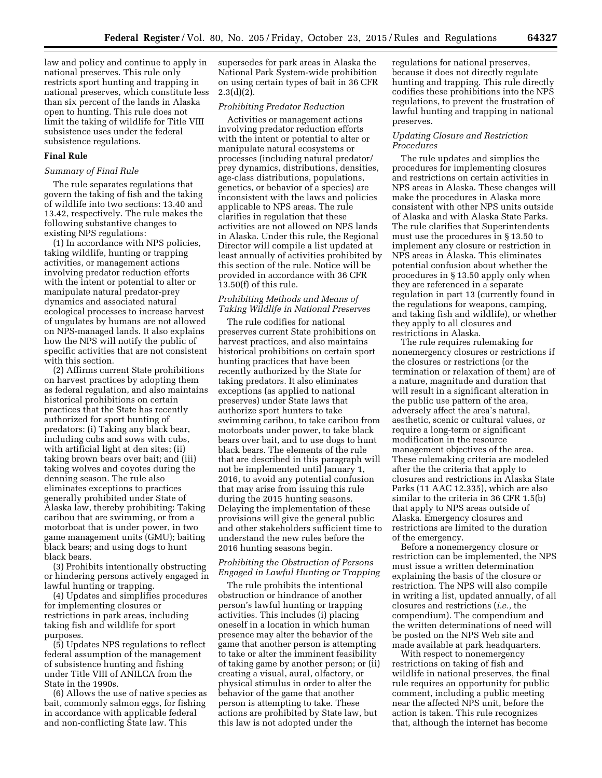law and policy and continue to apply in national preserves. This rule only restricts sport hunting and trapping in national preserves, which constitute less than six percent of the lands in Alaska open to hunting. This rule does not limit the taking of wildlife for Title VIII subsistence uses under the federal subsistence regulations.

## **Final Rule**

#### *Summary of Final Rule*

The rule separates regulations that govern the taking of fish and the taking of wildlife into two sections: 13.40 and 13.42, respectively. The rule makes the following substantive changes to existing NPS regulations:

(1) In accordance with NPS policies, taking wildlife, hunting or trapping activities, or management actions involving predator reduction efforts with the intent or potential to alter or manipulate natural predator-prey dynamics and associated natural ecological processes to increase harvest of ungulates by humans are not allowed on NPS-managed lands. It also explains how the NPS will notify the public of specific activities that are not consistent with this section.

(2) Affirms current State prohibitions on harvest practices by adopting them as federal regulation, and also maintains historical prohibitions on certain practices that the State has recently authorized for sport hunting of predators: (i) Taking any black bear, including cubs and sows with cubs, with artificial light at den sites; (ii) taking brown bears over bait; and (iii) taking wolves and coyotes during the denning season. The rule also eliminates exceptions to practices generally prohibited under State of Alaska law, thereby prohibiting: Taking caribou that are swimming, or from a motorboat that is under power, in two game management units (GMU); baiting black bears; and using dogs to hunt black bears.

(3) Prohibits intentionally obstructing or hindering persons actively engaged in lawful hunting or trapping.

(4) Updates and simplifies procedures for implementing closures or restrictions in park areas, including taking fish and wildlife for sport purposes.

(5) Updates NPS regulations to reflect federal assumption of the management of subsistence hunting and fishing under Title VIII of ANILCA from the State in the 1990s.

(6) Allows the use of native species as bait, commonly salmon eggs, for fishing in accordance with applicable federal and non-conflicting State law. This

supersedes for park areas in Alaska the National Park System-wide prohibition on using certain types of bait in 36 CFR  $2.3(d)(2)$ .

#### *Prohibiting Predator Reduction*

Activities or management actions involving predator reduction efforts with the intent or potential to alter or manipulate natural ecosystems or processes (including natural predator/ prey dynamics, distributions, densities, age-class distributions, populations, genetics, or behavior of a species) are inconsistent with the laws and policies applicable to NPS areas. The rule clarifies in regulation that these activities are not allowed on NPS lands in Alaska. Under this rule, the Regional Director will compile a list updated at least annually of activities prohibited by this section of the rule. Notice will be provided in accordance with 36 CFR 13.50(f) of this rule.

## *Prohibiting Methods and Means of Taking Wildlife in National Preserves*

The rule codifies for national preserves current State prohibitions on harvest practices, and also maintains historical prohibitions on certain sport hunting practices that have been recently authorized by the State for taking predators. It also eliminates exceptions (as applied to national preserves) under State laws that authorize sport hunters to take swimming caribou, to take caribou from motorboats under power, to take black bears over bait, and to use dogs to hunt black bears. The elements of the rule that are described in this paragraph will not be implemented until January 1, 2016, to avoid any potential confusion that may arise from issuing this rule during the 2015 hunting seasons. Delaying the implementation of these provisions will give the general public and other stakeholders sufficient time to understand the new rules before the 2016 hunting seasons begin.

## *Prohibiting the Obstruction of Persons Engaged in Lawful Hunting or Trapping*

The rule prohibits the intentional obstruction or hindrance of another person's lawful hunting or trapping activities. This includes (i) placing oneself in a location in which human presence may alter the behavior of the game that another person is attempting to take or alter the imminent feasibility of taking game by another person; or (ii) creating a visual, aural, olfactory, or physical stimulus in order to alter the behavior of the game that another person is attempting to take. These actions are prohibited by State law, but this law is not adopted under the

regulations for national preserves, because it does not directly regulate hunting and trapping. This rule directly codifies these prohibitions into the NPS regulations, to prevent the frustration of lawful hunting and trapping in national preserves.

### *Updating Closure and Restriction Procedures*

The rule updates and simplies the procedures for implementing closures and restrictions on certain activities in NPS areas in Alaska. These changes will make the procedures in Alaska more consistent with other NPS units outside of Alaska and with Alaska State Parks. The rule clarifies that Superintendents must use the procedures in § 13.50 to implement any closure or restriction in NPS areas in Alaska. This eliminates potential confusion about whether the procedures in § 13.50 apply only when they are referenced in a separate regulation in part 13 (currently found in the regulations for weapons, camping, and taking fish and wildlife), or whether they apply to all closures and restrictions in Alaska.

The rule requires rulemaking for nonemergency closures or restrictions if the closures or restrictions (or the termination or relaxation of them) are of a nature, magnitude and duration that will result in a significant alteration in the public use pattern of the area, adversely affect the area's natural, aesthetic, scenic or cultural values, or require a long-term or significant modification in the resource management objectives of the area. These rulemaking criteria are modeled after the the criteria that apply to closures and restrictions in Alaska State Parks (11 AAC 12.335), which are also similar to the criteria in 36 CFR 1.5(b) that apply to NPS areas outside of Alaska. Emergency closures and restrictions are limited to the duration of the emergency.

Before a nonemergency closure or restriction can be implemented, the NPS must issue a written determination explaining the basis of the closure or restriction. The NPS will also compile in writing a list, updated annually, of all closures and restrictions (*i.e.,* the compendium). The compendium and the written determinations of need will be posted on the NPS Web site and made available at park headquarters.

With respect to nonemergency restrictions on taking of fish and wildlife in national preserves, the final rule requires an opportunity for public comment, including a public meeting near the affected NPS unit, before the action is taken. This rule recognizes that, although the internet has become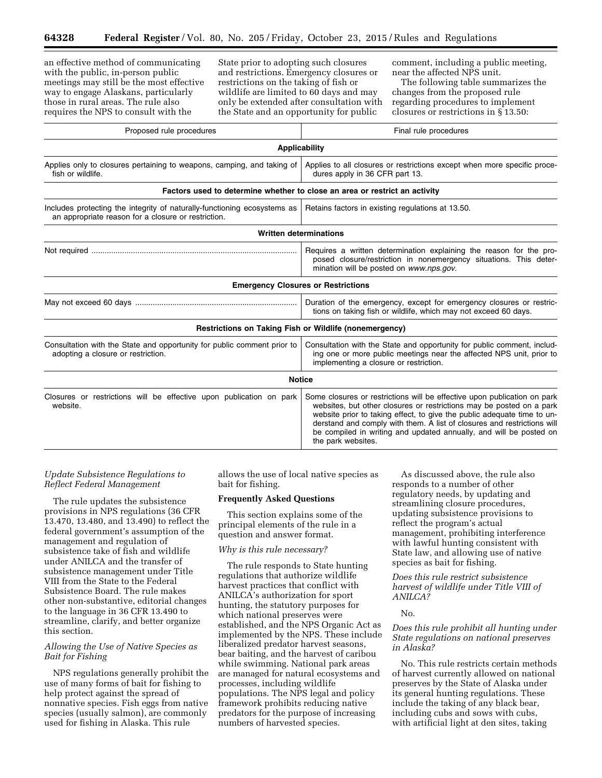an effective method of communicating with the public, in-person public meetings may still be the most effective way to engage Alaskans, particularly those in rural areas. The rule also requires the NPS to consult with the

State prior to adopting such closures and restrictions. Emergency closures or restrictions on the taking of fish or wildlife are limited to 60 days and may only be extended after consultation with the State and an opportunity for public

comment, including a public meeting, near the affected NPS unit.

The following table summarizes the changes from the proposed rule regarding procedures to implement closures or restrictions in § 13.50:

| Proposed rule procedures                                                                                                        | Final rule procedures                                                                                                                                                                                                                                                                                                                                                                              |  |
|---------------------------------------------------------------------------------------------------------------------------------|----------------------------------------------------------------------------------------------------------------------------------------------------------------------------------------------------------------------------------------------------------------------------------------------------------------------------------------------------------------------------------------------------|--|
| <b>Applicability</b>                                                                                                            |                                                                                                                                                                                                                                                                                                                                                                                                    |  |
| Applies only to closures pertaining to weapons, camping, and taking of<br>fish or wildlife.                                     | Applies to all closures or restrictions except when more specific proce-<br>dures apply in 36 CFR part 13.                                                                                                                                                                                                                                                                                         |  |
|                                                                                                                                 | Factors used to determine whether to close an area or restrict an activity                                                                                                                                                                                                                                                                                                                         |  |
| Includes protecting the integrity of naturally-functioning ecosystems as<br>an appropriate reason for a closure or restriction. | Retains factors in existing regulations at 13.50.                                                                                                                                                                                                                                                                                                                                                  |  |
|                                                                                                                                 | <b>Written determinations</b>                                                                                                                                                                                                                                                                                                                                                                      |  |
|                                                                                                                                 | Requires a written determination explaining the reason for the pro-<br>posed closure/restriction in nonemergency situations. This deter-<br>mination will be posted on www.nps.gov.                                                                                                                                                                                                                |  |
|                                                                                                                                 | <b>Emergency Closures or Restrictions</b>                                                                                                                                                                                                                                                                                                                                                          |  |
|                                                                                                                                 | Duration of the emergency, except for emergency closures or restric-<br>tions on taking fish or wildlife, which may not exceed 60 days.                                                                                                                                                                                                                                                            |  |
|                                                                                                                                 | Restrictions on Taking Fish or Wildlife (nonemergency)                                                                                                                                                                                                                                                                                                                                             |  |
| Consultation with the State and opportunity for public comment prior to<br>adopting a closure or restriction.                   | Consultation with the State and opportunity for public comment, includ-<br>ing one or more public meetings near the affected NPS unit, prior to<br>implementing a closure or restriction.                                                                                                                                                                                                          |  |
|                                                                                                                                 | <b>Notice</b>                                                                                                                                                                                                                                                                                                                                                                                      |  |
| Closures or restrictions will be effective upon publication on park<br>website.                                                 | Some closures or restrictions will be effective upon publication on park<br>websites, but other closures or restrictions may be posted on a park<br>website prior to taking effect, to give the public adequate time to un-<br>derstand and comply with them. A list of closures and restrictions will<br>be compiled in writing and updated annually, and will be posted on<br>the park websites. |  |

### *Update Subsistence Regulations to Reflect Federal Management*

The rule updates the subsistence provisions in NPS regulations (36 CFR 13.470, 13.480, and 13.490) to reflect the federal government's assumption of the management and regulation of subsistence take of fish and wildlife under ANILCA and the transfer of subsistence management under Title VIII from the State to the Federal Subsistence Board. The rule makes other non-substantive, editorial changes to the language in 36 CFR 13.490 to streamline, clarify, and better organize this section.

## *Allowing the Use of Native Species as Bait for Fishing*

NPS regulations generally prohibit the use of many forms of bait for fishing to help protect against the spread of nonnative species. Fish eggs from native species (usually salmon), are commonly used for fishing in Alaska. This rule

allows the use of local native species as bait for fishing.

#### **Frequently Asked Questions**

This section explains some of the principal elements of the rule in a question and answer format.

### *Why is this rule necessary?*

The rule responds to State hunting regulations that authorize wildlife harvest practices that conflict with ANILCA's authorization for sport hunting, the statutory purposes for which national preserves were established, and the NPS Organic Act as implemented by the NPS. These include liberalized predator harvest seasons, bear baiting, and the harvest of caribou while swimming. National park areas are managed for natural ecosystems and processes, including wildlife populations. The NPS legal and policy framework prohibits reducing native predators for the purpose of increasing numbers of harvested species.

As discussed above, the rule also responds to a number of other regulatory needs, by updating and streamlining closure procedures, updating subsistence provisions to reflect the program's actual management, prohibiting interference with lawful hunting consistent with State law, and allowing use of native species as bait for fishing.

*Does this rule restrict subsistence harvest of wildlife under Title VIII of ANILCA?* 

#### No.

## *Does this rule prohibit all hunting under State regulations on national preserves in Alaska?*

No. This rule restricts certain methods of harvest currently allowed on national preserves by the State of Alaska under its general hunting regulations. These include the taking of any black bear, including cubs and sows with cubs, with artificial light at den sites, taking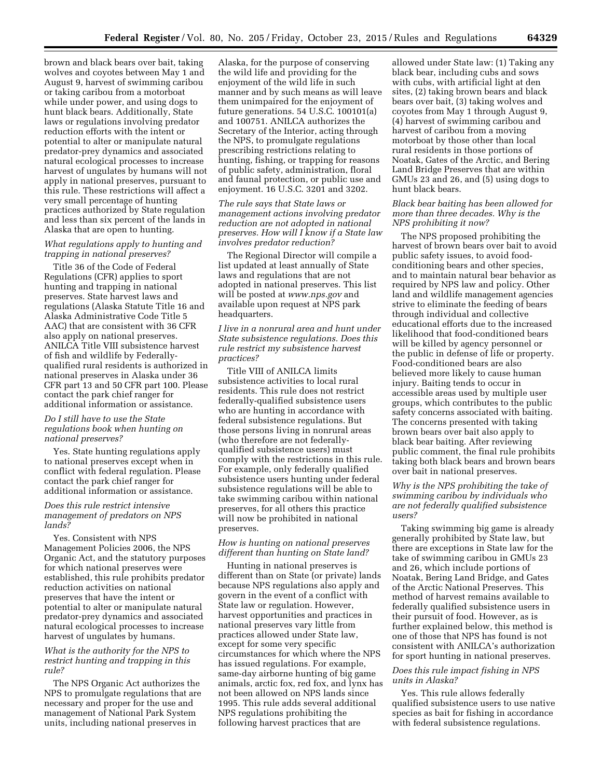brown and black bears over bait, taking wolves and coyotes between May 1 and August 9, harvest of swimming caribou or taking caribou from a motorboat while under power, and using dogs to hunt black bears. Additionally, State laws or regulations involving predator reduction efforts with the intent or potential to alter or manipulate natural predator-prey dynamics and associated natural ecological processes to increase harvest of ungulates by humans will not apply in national preserves, pursuant to this rule. These restrictions will affect a very small percentage of hunting practices authorized by State regulation and less than six percent of the lands in Alaska that are open to hunting.

## *What regulations apply to hunting and trapping in national preserves?*

Title 36 of the Code of Federal Regulations (CFR) applies to sport hunting and trapping in national preserves. State harvest laws and regulations (Alaska Statute Title 16 and Alaska Administrative Code Title 5 AAC) that are consistent with 36 CFR also apply on national preserves. ANILCA Title VIII subsistence harvest of fish and wildlife by Federallyqualified rural residents is authorized in national preserves in Alaska under 36 CFR part 13 and 50 CFR part 100. Please contact the park chief ranger for additional information or assistance.

## *Do I still have to use the State regulations book when hunting on national preserves?*

Yes. State hunting regulations apply to national preserves except when in conflict with federal regulation. Please contact the park chief ranger for additional information or assistance.

## *Does this rule restrict intensive management of predators on NPS lands?*

Yes. Consistent with NPS Management Policies 2006, the NPS Organic Act, and the statutory purposes for which national preserves were established, this rule prohibits predator reduction activities on national preserves that have the intent or potential to alter or manipulate natural predator-prey dynamics and associated natural ecological processes to increase harvest of ungulates by humans.

## *What is the authority for the NPS to restrict hunting and trapping in this rule?*

The NPS Organic Act authorizes the NPS to promulgate regulations that are necessary and proper for the use and management of National Park System units, including national preserves in

Alaska, for the purpose of conserving the wild life and providing for the enjoyment of the wild life in such manner and by such means as will leave them unimpaired for the enjoyment of future generations. 54 U.S.C. 100101(a) and 100751. ANILCA authorizes the Secretary of the Interior, acting through the NPS, to promulgate regulations prescribing restrictions relating to hunting, fishing, or trapping for reasons of public safety, administration, floral and faunal protection, or public use and enjoyment. 16 U.S.C. 3201 and 3202.

*The rule says that State laws or management actions involving predator reduction are not adopted in national preserves. How will I know if a State law involves predator reduction?* 

The Regional Director will compile a list updated at least annually of State laws and regulations that are not adopted in national preserves. This list will be posted at *[www.nps.gov](http://www.nps.gov)* and available upon request at NPS park headquarters.

*I live in a nonrural area and hunt under State subsistence regulations. Does this rule restrict my subsistence harvest practices?* 

Title VIII of ANILCA limits subsistence activities to local rural residents. This rule does not restrict federally-qualified subsistence users who are hunting in accordance with federal subsistence regulations. But those persons living in nonrural areas (who therefore are not federallyqualified subsistence users) must comply with the restrictions in this rule. For example, only federally qualified subsistence users hunting under federal subsistence regulations will be able to take swimming caribou within national preserves, for all others this practice will now be prohibited in national preserves.

#### *How is hunting on national preserves different than hunting on State land?*

Hunting in national preserves is different than on State (or private) lands because NPS regulations also apply and govern in the event of a conflict with State law or regulation. However, harvest opportunities and practices in national preserves vary little from practices allowed under State law, except for some very specific circumstances for which where the NPS has issued regulations. For example, same-day airborne hunting of big game animals, arctic fox, red fox, and lynx has not been allowed on NPS lands since 1995. This rule adds several additional NPS regulations prohibiting the following harvest practices that are

allowed under State law: (1) Taking any black bear, including cubs and sows with cubs, with artificial light at den sites, (2) taking brown bears and black bears over bait, (3) taking wolves and coyotes from May 1 through August 9, (4) harvest of swimming caribou and harvest of caribou from a moving motorboat by those other than local rural residents in those portions of Noatak, Gates of the Arctic, and Bering Land Bridge Preserves that are within GMUs 23 and 26, and (5) using dogs to hunt black bears.

## *Black bear baiting has been allowed for more than three decades. Why is the NPS prohibiting it now?*

The NPS proposed prohibiting the harvest of brown bears over bait to avoid public safety issues, to avoid foodconditioning bears and other species, and to maintain natural bear behavior as required by NPS law and policy. Other land and wildlife management agencies strive to eliminate the feeding of bears through individual and collective educational efforts due to the increased likelihood that food-conditioned bears will be killed by agency personnel or the public in defense of life or property. Food-conditioned bears are also believed more likely to cause human injury. Baiting tends to occur in accessible areas used by multiple user groups, which contributes to the public safety concerns associated with baiting. The concerns presented with taking brown bears over bait also apply to black bear baiting. After reviewing public comment, the final rule prohibits taking both black bears and brown bears over bait in national preserves.

## *Why is the NPS prohibiting the take of swimming caribou by individuals who are not federally qualified subsistence users?*

Taking swimming big game is already generally prohibited by State law, but there are exceptions in State law for the take of swimming caribou in GMUs 23 and 26, which include portions of Noatak, Bering Land Bridge, and Gates of the Arctic National Preserves. This method of harvest remains available to federally qualified subsistence users in their pursuit of food. However, as is further explained below, this method is one of those that NPS has found is not consistent with ANILCA's authorization for sport hunting in national preserves.

## *Does this rule impact fishing in NPS units in Alaska?*

Yes. This rule allows federally qualified subsistence users to use native species as bait for fishing in accordance with federal subsistence regulations.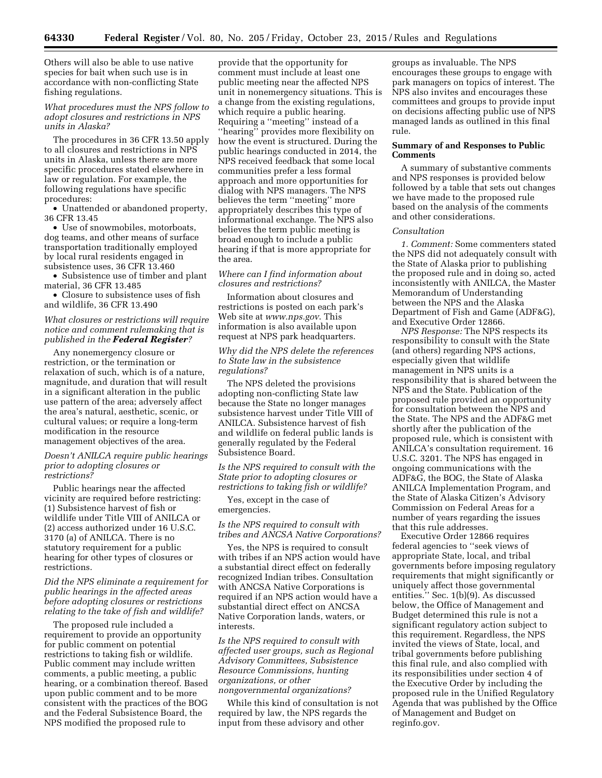Others will also be able to use native species for bait when such use is in accordance with non-conflicting State fishing regulations.

# *What procedures must the NPS follow to adopt closures and restrictions in NPS units in Alaska?*

The procedures in 36 CFR 13.50 apply to all closures and restrictions in NPS units in Alaska, unless there are more specific procedures stated elsewhere in law or regulation. For example, the following regulations have specific procedures:

• Unattended or abandoned property, 36 CFR 13.45

• Use of snowmobiles, motorboats, dog teams, and other means of surface transportation traditionally employed by local rural residents engaged in subsistence uses, 36 CFR 13.460

• Subsistence use of timber and plant material, 36 CFR 13.485

• Closure to subsistence uses of fish and wildlife, 36 CFR 13.490

### *What closures or restrictions will require notice and comment rulemaking that is published in the Federal Register?*

Any nonemergency closure or restriction, or the termination or relaxation of such, which is of a nature, magnitude, and duration that will result in a significant alteration in the public use pattern of the area; adversely affect the area's natural, aesthetic, scenic, or cultural values; or require a long-term modification in the resource management objectives of the area.

#### *Doesn't ANILCA require public hearings prior to adopting closures or restrictions?*

Public hearings near the affected vicinity are required before restricting: (1) Subsistence harvest of fish or wildlife under Title VIII of ANILCA or (2) access authorized under 16 U.S.C. 3170 (a) of ANILCA. There is no statutory requirement for a public hearing for other types of closures or restrictions.

## *Did the NPS eliminate a requirement for public hearings in the affected areas before adopting closures or restrictions relating to the take of fish and wildlife?*

The proposed rule included a requirement to provide an opportunity for public comment on potential restrictions to taking fish or wildlife. Public comment may include written comments, a public meeting, a public hearing, or a combination thereof. Based upon public comment and to be more consistent with the practices of the BOG and the Federal Subsistence Board, the NPS modified the proposed rule to

provide that the opportunity for comment must include at least one public meeting near the affected NPS unit in nonemergency situations. This is a change from the existing regulations, which require a public hearing. Requiring a ''meeting'' instead of a ''hearing'' provides more flexibility on how the event is structured. During the public hearings conducted in 2014, the NPS received feedback that some local communities prefer a less formal approach and more opportunities for dialog with NPS managers. The NPS believes the term ''meeting'' more appropriately describes this type of informational exchange. The NPS also believes the term public meeting is broad enough to include a public hearing if that is more appropriate for the area.

### *Where can I find information about closures and restrictions?*

Information about closures and restrictions is posted on each park's Web site at *[www.nps.gov](http://www.nps.gov)*. This information is also available upon request at NPS park headquarters.

# *Why did the NPS delete the references to State law in the subsistence regulations?*

The NPS deleted the provisions adopting non-conflicting State law because the State no longer manages subsistence harvest under Title VIII of ANILCA. Subsistence harvest of fish and wildlife on federal public lands is generally regulated by the Federal Subsistence Board.

## *Is the NPS required to consult with the State prior to adopting closures or restrictions to taking fish or wildlife?*

Yes, except in the case of emergencies.

*Is the NPS required to consult with tribes and ANCSA Native Corporations?* 

Yes, the NPS is required to consult with tribes if an NPS action would have a substantial direct effect on federally recognized Indian tribes. Consultation with ANCSA Native Corporations is required if an NPS action would have a substantial direct effect on ANCSA Native Corporation lands, waters, or interests.

*Is the NPS required to consult with affected user groups, such as Regional Advisory Committees, Subsistence Resource Commissions, hunting organizations, or other nongovernmental organizations?* 

While this kind of consultation is not required by law, the NPS regards the input from these advisory and other

groups as invaluable. The NPS encourages these groups to engage with park managers on topics of interest. The NPS also invites and encourages these committees and groups to provide input on decisions affecting public use of NPS managed lands as outlined in this final rule.

## **Summary of and Responses to Public Comments**

A summary of substantive comments and NPS responses is provided below followed by a table that sets out changes we have made to the proposed rule based on the analysis of the comments and other considerations.

## *Consultation*

*1. Comment:* Some commenters stated the NPS did not adequately consult with the State of Alaska prior to publishing the proposed rule and in doing so, acted inconsistently with ANILCA, the Master Memorandum of Understanding between the NPS and the Alaska Department of Fish and Game (ADF&G), and Executive Order 12866.

*NPS Response:* The NPS respects its responsibility to consult with the State (and others) regarding NPS actions, especially given that wildlife management in NPS units is a responsibility that is shared between the NPS and the State. Publication of the proposed rule provided an opportunity for consultation between the NPS and the State. The NPS and the ADF&G met shortly after the publication of the proposed rule, which is consistent with ANILCA's consultation requirement. 16 U.S.C. 3201. The NPS has engaged in ongoing communications with the ADF&G, the BOG, the State of Alaska ANILCA Implementation Program, and the State of Alaska Citizen's Advisory Commission on Federal Areas for a number of years regarding the issues that this rule addresses.

Executive Order 12866 requires federal agencies to ''seek views of appropriate State, local, and tribal governments before imposing regulatory requirements that might significantly or uniquely affect those governmental entities.'' Sec. 1(b)(9). As discussed below, the Office of Management and Budget determined this rule is not a significant regulatory action subject to this requirement. Regardless, the NPS invited the views of State, local, and tribal governments before publishing this final rule, and also complied with its responsibilities under section 4 of the Executive Order by including the proposed rule in the Unified Regulatory Agenda that was published by the Office of Management and Budget on reginfo.gov.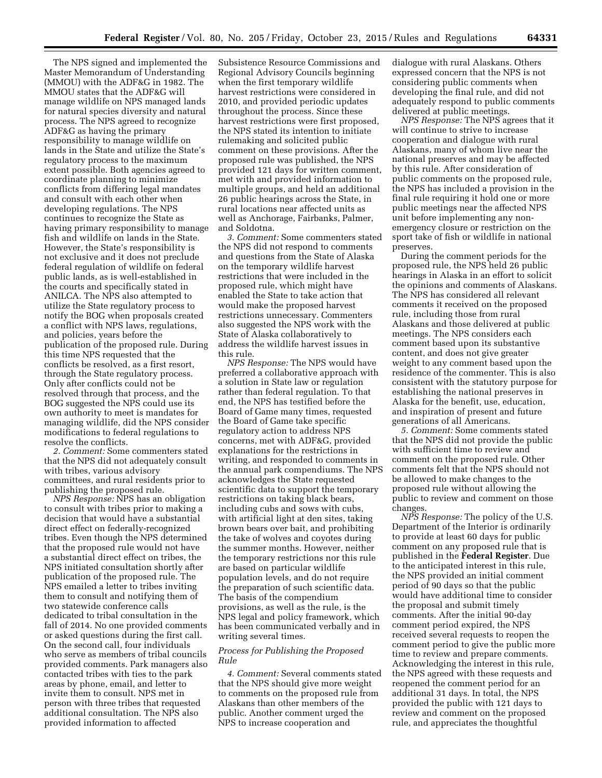The NPS signed and implemented the Master Memorandum of Understanding (MMOU) with the ADF&G in 1982. The MMOU states that the ADF&G will manage wildlife on NPS managed lands for natural species diversity and natural process. The NPS agreed to recognize ADF&G as having the primary responsibility to manage wildlife on lands in the State and utilize the State's regulatory process to the maximum extent possible. Both agencies agreed to coordinate planning to minimize conflicts from differing legal mandates and consult with each other when developing regulations. The NPS continues to recognize the State as having primary responsibility to manage fish and wildlife on lands in the State. However, the State's responsibility is not exclusive and it does not preclude federal regulation of wildlife on federal public lands, as is well-established in the courts and specifically stated in ANILCA. The NPS also attempted to utilize the State regulatory process to notify the BOG when proposals created a conflict with NPS laws, regulations, and policies, years before the publication of the proposed rule. During this time NPS requested that the conflicts be resolved, as a first resort, through the State regulatory process. Only after conflicts could not be resolved through that process, and the BOG suggested the NPS could use its own authority to meet is mandates for managing wildlife, did the NPS consider modifications to federal regulations to resolve the conflicts.

*2. Comment:* Some commenters stated that the NPS did not adequately consult with tribes, various advisory committees, and rural residents prior to publishing the proposed rule.

*NPS Response:* NPS has an obligation to consult with tribes prior to making a decision that would have a substantial direct effect on federally-recognized tribes. Even though the NPS determined that the proposed rule would not have a substantial direct effect on tribes, the NPS initiated consultation shortly after publication of the proposed rule. The NPS emailed a letter to tribes inviting them to consult and notifying them of two statewide conference calls dedicated to tribal consultation in the fall of 2014. No one provided comments or asked questions during the first call. On the second call, four individuals who serve as members of tribal councils provided comments. Park managers also contacted tribes with ties to the park areas by phone, email, and letter to invite them to consult. NPS met in person with three tribes that requested additional consultation. The NPS also provided information to affected

Subsistence Resource Commissions and Regional Advisory Councils beginning when the first temporary wildlife harvest restrictions were considered in 2010, and provided periodic updates throughout the process. Since these harvest restrictions were first proposed, the NPS stated its intention to initiate rulemaking and solicited public comment on these provisions. After the proposed rule was published, the NPS provided 121 days for written comment, met with and provided information to multiple groups, and held an additional 26 public hearings across the State, in rural locations near affected units as well as Anchorage, Fairbanks, Palmer, and Soldotna.

*3. Comment:* Some commenters stated the NPS did not respond to comments and questions from the State of Alaska on the temporary wildlife harvest restrictions that were included in the proposed rule, which might have enabled the State to take action that would make the proposed harvest restrictions unnecessary. Commenters also suggested the NPS work with the State of Alaska collaboratively to address the wildlife harvest issues in this rule.

*NPS Response:* The NPS would have preferred a collaborative approach with a solution in State law or regulation rather than federal regulation. To that end, the NPS has testified before the Board of Game many times, requested the Board of Game take specific regulatory action to address NPS concerns, met with ADF&G, provided explanations for the restrictions in writing, and responded to comments in the annual park compendiums. The NPS acknowledges the State requested scientific data to support the temporary restrictions on taking black bears, including cubs and sows with cubs, with artificial light at den sites, taking brown bears over bait, and prohibiting the take of wolves and coyotes during the summer months. However, neither the temporary restrictions nor this rule are based on particular wildlife population levels, and do not require the preparation of such scientific data. The basis of the compendium provisions, as well as the rule, is the NPS legal and policy framework, which has been communicated verbally and in writing several times.

### *Process for Publishing the Proposed Rule*

*4. Comment:* Several comments stated that the NPS should give more weight to comments on the proposed rule from Alaskans than other members of the public. Another comment urged the NPS to increase cooperation and

dialogue with rural Alaskans. Others expressed concern that the NPS is not considering public comments when developing the final rule, and did not adequately respond to public comments delivered at public meetings.

*NPS Response:* The NPS agrees that it will continue to strive to increase cooperation and dialogue with rural Alaskans, many of whom live near the national preserves and may be affected by this rule. After consideration of public comments on the proposed rule, the NPS has included a provision in the final rule requiring it hold one or more public meetings near the affected NPS unit before implementing any nonemergency closure or restriction on the sport take of fish or wildlife in national preserves.

During the comment periods for the proposed rule, the NPS held 26 public hearings in Alaska in an effort to solicit the opinions and comments of Alaskans. The NPS has considered all relevant comments it received on the proposed rule, including those from rural Alaskans and those delivered at public meetings. The NPS considers each comment based upon its substantive content, and does not give greater weight to any comment based upon the residence of the commenter. This is also consistent with the statutory purpose for establishing the national preserves in Alaska for the benefit, use, education, and inspiration of present and future generations of all Americans.

*5. Comment:* Some comments stated that the NPS did not provide the public with sufficient time to review and comment on the proposed rule. Other comments felt that the NPS should not be allowed to make changes to the proposed rule without allowing the public to review and comment on those changes.

*NPS Response:* The policy of the U.S. Department of the Interior is ordinarily to provide at least 60 days for public comment on any proposed rule that is published in the **Federal Register**. Due to the anticipated interest in this rule, the NPS provided an initial comment period of 90 days so that the public would have additional time to consider the proposal and submit timely comments. After the initial 90-day comment period expired, the NPS received several requests to reopen the comment period to give the public more time to review and prepare comments. Acknowledging the interest in this rule, the NPS agreed with these requests and reopened the comment period for an additional 31 days. In total, the NPS provided the public with 121 days to review and comment on the proposed rule, and appreciates the thoughtful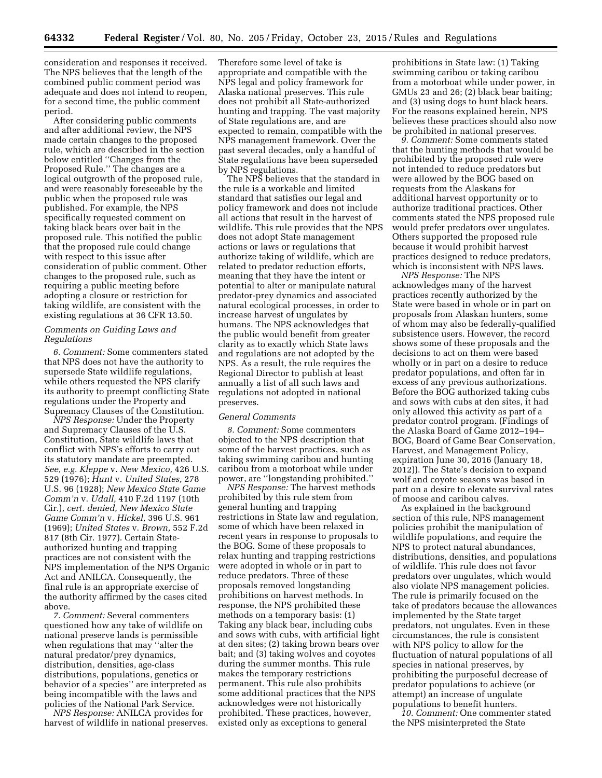consideration and responses it received. The NPS believes that the length of the combined public comment period was adequate and does not intend to reopen, for a second time, the public comment period.

After considering public comments and after additional review, the NPS made certain changes to the proposed rule, which are described in the section below entitled ''Changes from the Proposed Rule.'' The changes are a logical outgrowth of the proposed rule, and were reasonably foreseeable by the public when the proposed rule was published. For example, the NPS specifically requested comment on taking black bears over bait in the proposed rule. This notified the public that the proposed rule could change with respect to this issue after consideration of public comment. Other changes to the proposed rule, such as requiring a public meeting before adopting a closure or restriction for taking wildlife, are consistent with the existing regulations at 36 CFR 13.50.

## *Comments on Guiding Laws and Regulations*

*6. Comment:* Some commenters stated that NPS does not have the authority to supersede State wildlife regulations, while others requested the NPS clarify its authority to preempt conflicting State regulations under the Property and Supremacy Clauses of the Constitution.

*NPS Response:* Under the Property and Supremacy Clauses of the U.S. Constitution, State wildlife laws that conflict with NPS's efforts to carry out its statutory mandate are preempted. *See, e.g. Kleppe* v. *New Mexico,* 426 U.S. 529 (1976); *Hunt* v. *United States,* 278 U.S. 96 (1928); *New Mexico State Game Comm'n* v. *Udall,* 410 F.2d 1197 (10th Cir.), *cert. denied, New Mexico State Game Comm'n* v. *Hickel,* 396 U.S. 961 (1969); *United States* v. *Brown,* 552 F.2d 817 (8th Cir. 1977). Certain Stateauthorized hunting and trapping practices are not consistent with the NPS implementation of the NPS Organic Act and ANILCA. Consequently, the final rule is an appropriate exercise of the authority affirmed by the cases cited above.

*7. Comment:* Several commenters questioned how any take of wildlife on national preserve lands is permissible when regulations that may ''alter the natural predator/prey dynamics, distribution, densities, age-class distributions, populations, genetics or behavior of a species'' are interpreted as being incompatible with the laws and policies of the National Park Service.

*NPS Response:* ANILCA provides for harvest of wildlife in national preserves. Therefore some level of take is appropriate and compatible with the NPS legal and policy framework for Alaska national preserves. This rule does not prohibit all State-authorized hunting and trapping. The vast majority of State regulations are, and are expected to remain, compatible with the NPS management framework. Over the past several decades, only a handful of State regulations have been superseded by NPS regulations.

The NPS believes that the standard in the rule is a workable and limited standard that satisfies our legal and policy framework and does not include all actions that result in the harvest of wildlife. This rule provides that the NPS does not adopt State management actions or laws or regulations that authorize taking of wildlife, which are related to predator reduction efforts, meaning that they have the intent or potential to alter or manipulate natural predator-prey dynamics and associated natural ecological processes, in order to increase harvest of ungulates by humans. The NPS acknowledges that the public would benefit from greater clarity as to exactly which State laws and regulations are not adopted by the NPS. As a result, the rule requires the Regional Director to publish at least annually a list of all such laws and regulations not adopted in national preserves.

#### *General Comments*

*8. Comment:* Some commenters objected to the NPS description that some of the harvest practices, such as taking swimming caribou and hunting caribou from a motorboat while under power, are ''longstanding prohibited.''

*NPS Response:* The harvest methods prohibited by this rule stem from general hunting and trapping restrictions in State law and regulation, some of which have been relaxed in recent years in response to proposals to the BOG. Some of these proposals to relax hunting and trapping restrictions were adopted in whole or in part to reduce predators. Three of these proposals removed longstanding prohibitions on harvest methods. In response, the NPS prohibited these methods on a temporary basis: (1) Taking any black bear, including cubs and sows with cubs, with artificial light at den sites; (2) taking brown bears over bait; and (3) taking wolves and coyotes during the summer months. This rule makes the temporary restrictions permanent. This rule also prohibits some additional practices that the NPS acknowledges were not historically prohibited. These practices, however, existed only as exceptions to general

prohibitions in State law: (1) Taking swimming caribou or taking caribou from a motorboat while under power, in GMUs 23 and 26; (2) black bear baiting; and (3) using dogs to hunt black bears. For the reasons explained herein, NPS believes these practices should also now be prohibited in national preserves.

*9. Comment:* Some comments stated that the hunting methods that would be prohibited by the proposed rule were not intended to reduce predators but were allowed by the BOG based on requests from the Alaskans for additional harvest opportunity or to authorize traditional practices. Other comments stated the NPS proposed rule would prefer predators over ungulates. Others supported the proposed rule because it would prohibit harvest practices designed to reduce predators, which is inconsistent with NPS laws.

*NPS Response:* The NPS acknowledges many of the harvest practices recently authorized by the State were based in whole or in part on proposals from Alaskan hunters, some of whom may also be federally-qualified subsistence users. However, the record shows some of these proposals and the decisions to act on them were based wholly or in part on a desire to reduce predator populations, and often far in excess of any previous authorizations. Before the BOG authorized taking cubs and sows with cubs at den sites, it had only allowed this activity as part of a predator control program. (Findings of the Alaska Board of Game 2012–194– BOG, Board of Game Bear Conservation, Harvest, and Management Policy, expiration June 30, 2016 (January 18, 2012)). The State's decision to expand wolf and coyote seasons was based in part on a desire to elevate survival rates of moose and caribou calves.

As explained in the background section of this rule, NPS management policies prohibit the manipulation of wildlife populations, and require the NPS to protect natural abundances, distributions, densities, and populations of wildlife. This rule does not favor predators over ungulates, which would also violate NPS management policies. The rule is primarily focused on the take of predators because the allowances implemented by the State target predators, not ungulates. Even in these circumstances, the rule is consistent with NPS policy to allow for the fluctuation of natural populations of all species in national preserves, by prohibiting the purposeful decrease of predator populations to achieve (or attempt) an increase of ungulate populations to benefit hunters.

*10. Comment:* One commenter stated the NPS misinterpreted the State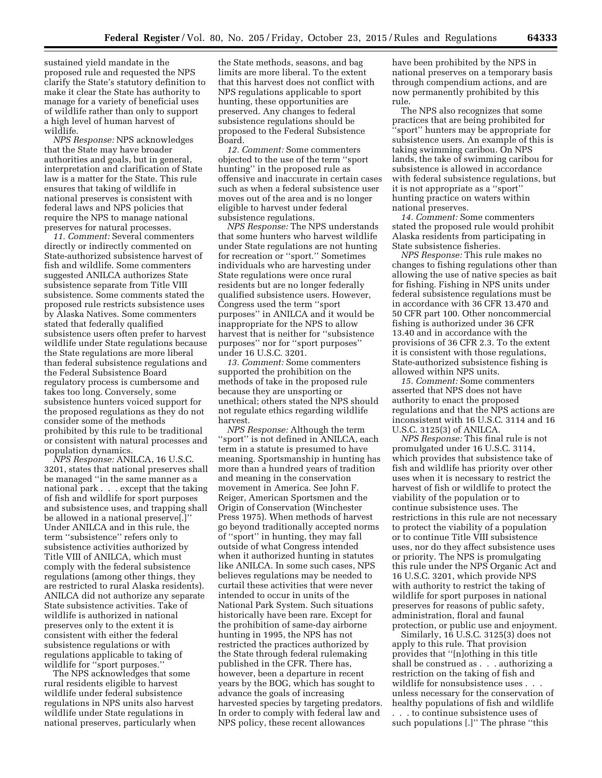sustained yield mandate in the proposed rule and requested the NPS clarify the State's statutory definition to make it clear the State has authority to manage for a variety of beneficial uses of wildlife rather than only to support a high level of human harvest of wildlife.

*NPS Response:* NPS acknowledges that the State may have broader authorities and goals, but in general, interpretation and clarification of State law is a matter for the State. This rule ensures that taking of wildlife in national preserves is consistent with federal laws and NPS policies that require the NPS to manage national preserves for natural processes.

*11. Comment:* Several commenters directly or indirectly commented on State-authorized subsistence harvest of fish and wildlife. Some commenters suggested ANILCA authorizes State subsistence separate from Title VIII subsistence. Some comments stated the proposed rule restricts subsistence uses by Alaska Natives. Some commenters stated that federally qualified subsistence users often prefer to harvest wildlife under State regulations because the State regulations are more liberal than federal subsistence regulations and the Federal Subsistence Board regulatory process is cumbersome and takes too long. Conversely, some subsistence hunters voiced support for the proposed regulations as they do not consider some of the methods prohibited by this rule to be traditional or consistent with natural processes and population dynamics.

*NPS Response:* ANILCA, 16 U.S.C. 3201, states that national preserves shall be managed ''in the same manner as a national park . . . except that the taking of fish and wildlife for sport purposes and subsistence uses, and trapping shall be allowed in a national preserve[.]'' Under ANILCA and in this rule, the term ''subsistence'' refers only to subsistence activities authorized by Title VIII of ANILCA, which must comply with the federal subsistence regulations (among other things, they are restricted to rural Alaska residents). ANILCA did not authorize any separate State subsistence activities. Take of wildlife is authorized in national preserves only to the extent it is consistent with either the federal subsistence regulations or with regulations applicable to taking of wildlife for ''sport purposes.''

The NPS acknowledges that some rural residents eligible to harvest wildlife under federal subsistence regulations in NPS units also harvest wildlife under State regulations in national preserves, particularly when

the State methods, seasons, and bag limits are more liberal. To the extent that this harvest does not conflict with NPS regulations applicable to sport hunting, these opportunities are preserved. Any changes to federal subsistence regulations should be proposed to the Federal Subsistence Board.

*12. Comment:* Some commenters objected to the use of the term ''sport hunting'' in the proposed rule as offensive and inaccurate in certain cases such as when a federal subsistence user moves out of the area and is no longer eligible to harvest under federal subsistence regulations.

*NPS Response:* The NPS understands that some hunters who harvest wildlife under State regulations are not hunting for recreation or ''sport.'' Sometimes individuals who are harvesting under State regulations were once rural residents but are no longer federally qualified subsistence users. However, Congress used the term ''sport purposes'' in ANILCA and it would be inappropriate for the NPS to allow harvest that is neither for ''subsistence purposes'' nor for ''sport purposes'' under 16 U.S.C. 3201.

*13. Comment:* Some commenters supported the prohibition on the methods of take in the proposed rule because they are unsporting or unethical; others stated the NPS should not regulate ethics regarding wildlife harvest.

*NPS Response:* Although the term ''sport'' is not defined in ANILCA, each term in a statute is presumed to have meaning. Sportsmanship in hunting has more than a hundred years of tradition and meaning in the conservation movement in America. See John F. Reiger, American Sportsmen and the Origin of Conservation (Winchester Press 1975). When methods of harvest go beyond traditionally accepted norms of ''sport'' in hunting, they may fall outside of what Congress intended when it authorized hunting in statutes like ANILCA. In some such cases, NPS believes regulations may be needed to curtail these activities that were never intended to occur in units of the National Park System. Such situations historically have been rare. Except for the prohibition of same-day airborne hunting in 1995, the NPS has not restricted the practices authorized by the State through federal rulemaking published in the CFR. There has, however, been a departure in recent years by the BOG, which has sought to advance the goals of increasing harvested species by targeting predators. In order to comply with federal law and NPS policy, these recent allowances

have been prohibited by the NPS in national preserves on a temporary basis through compendium actions, and are now permanently prohibited by this rule.

The NPS also recognizes that some practices that are being prohibited for ''sport'' hunters may be appropriate for subsistence users. An example of this is taking swimming caribou. On NPS lands, the take of swimming caribou for subsistence is allowed in accordance with federal subsistence regulations, but it is not appropriate as a ''sport'' hunting practice on waters within national preserves.

*14. Comment:* Some commenters stated the proposed rule would prohibit Alaska residents from participating in State subsistence fisheries.

*NPS Response:* This rule makes no changes to fishing regulations other than allowing the use of native species as bait for fishing. Fishing in NPS units under federal subsistence regulations must be in accordance with 36 CFR 13.470 and 50 CFR part 100. Other noncommercial fishing is authorized under 36 CFR 13.40 and in accordance with the provisions of 36 CFR 2.3. To the extent it is consistent with those regulations, State-authorized subsistence fishing is allowed within NPS units.

*15. Comment:* Some commenters asserted that NPS does not have authority to enact the proposed regulations and that the NPS actions are inconsistent with 16 U.S.C. 3114 and 16 U.S.C. 3125(3) of ANILCA.

*NPS Response:* This final rule is not promulgated under 16 U.S.C. 3114, which provides that subsistence take of fish and wildlife has priority over other uses when it is necessary to restrict the harvest of fish or wildlife to protect the viability of the population or to continue subsistence uses. The restrictions in this rule are not necessary to protect the viability of a population or to continue Title VIII subsistence uses, nor do they affect subsistence uses or priority. The NPS is promulgating this rule under the NPS Organic Act and 16 U.S.C. 3201, which provide NPS with authority to restrict the taking of wildlife for sport purposes in national preserves for reasons of public safety, administration, floral and faunal protection, or public use and enjoyment.

Similarly, 16 U.S.C. 3125(3) does not apply to this rule. That provision provides that ''[n]othing in this title shall be construed as . . . authorizing a restriction on the taking of fish and wildlife for nonsubsistence uses . . . unless necessary for the conservation of healthy populations of fish and wildlife . . . to continue subsistence uses of such populations [.]'' The phrase ''this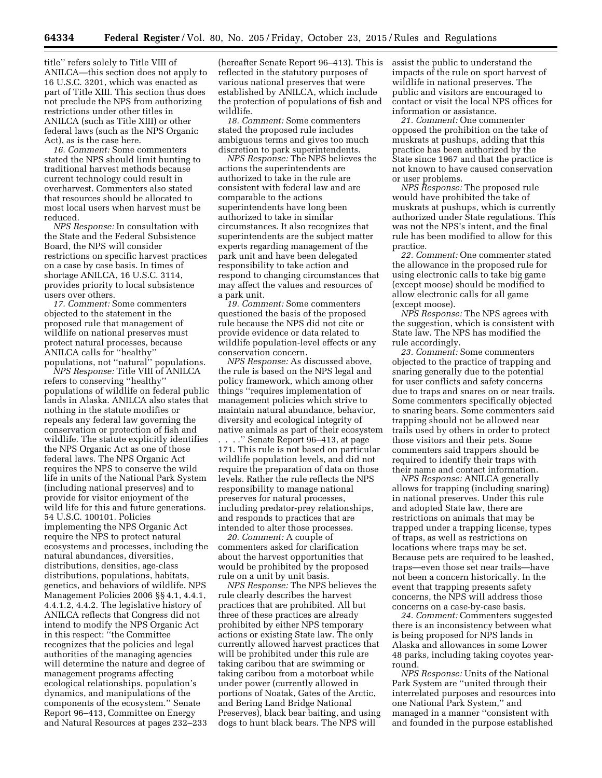title'' refers solely to Title VIII of ANILCA—this section does not apply to 16 U.S.C. 3201, which was enacted as part of Title XIII. This section thus does not preclude the NPS from authorizing restrictions under other titles in ANILCA (such as Title XIII) or other federal laws (such as the NPS Organic Act), as is the case here.

*16. Comment:* Some commenters stated the NPS should limit hunting to traditional harvest methods because current technology could result in overharvest. Commenters also stated that resources should be allocated to most local users when harvest must be reduced.

*NPS Response:* In consultation with the State and the Federal Subsistence Board, the NPS will consider restrictions on specific harvest practices on a case by case basis. In times of shortage ANILCA, 16 U.S.C. 3114, provides priority to local subsistence users over others.

*17. Comment:* Some commenters objected to the statement in the proposed rule that management of wildlife on national preserves must protect natural processes, because ANILCA calls for ''healthy'' populations, not ''natural'' populations.

*NPS Response:* Title VIII of ANILCA refers to conserving ''healthy'' populations of wildlife on federal public lands in Alaska. ANILCA also states that nothing in the statute modifies or repeals any federal law governing the conservation or protection of fish and wildlife. The statute explicitly identifies the NPS Organic Act as one of those federal laws. The NPS Organic Act requires the NPS to conserve the wild life in units of the National Park System (including national preserves) and to provide for visitor enjoyment of the wild life for this and future generations. 54 U.S.C. 100101. Policies implementing the NPS Organic Act require the NPS to protect natural ecosystems and processes, including the natural abundances, diversities, distributions, densities, age-class distributions, populations, habitats, genetics, and behaviors of wildlife. NPS Management Policies 2006 §§ 4.1, 4.4.1, 4.4.1.2, 4.4.2. The legislative history of ANILCA reflects that Congress did not intend to modify the NPS Organic Act in this respect: ''the Committee recognizes that the policies and legal authorities of the managing agencies will determine the nature and degree of management programs affecting ecological relationships, population's dynamics, and manipulations of the components of the ecosystem.'' Senate Report 96–413, Committee on Energy and Natural Resources at pages 232–233

(hereafter Senate Report 96–413). This is reflected in the statutory purposes of various national preserves that were established by ANILCA, which include the protection of populations of fish and wildlife.

*18. Comment:* Some commenters stated the proposed rule includes ambiguous terms and gives too much discretion to park superintendents.

*NPS Response:* The NPS believes the actions the superintendents are authorized to take in the rule are consistent with federal law and are comparable to the actions superintendents have long been authorized to take in similar circumstances. It also recognizes that superintendents are the subject matter experts regarding management of the park unit and have been delegated responsibility to take action and respond to changing circumstances that may affect the values and resources of a park unit.

*19. Comment:* Some commenters questioned the basis of the proposed rule because the NPS did not cite or provide evidence or data related to wildlife population-level effects or any conservation concern.

*NPS Response:* As discussed above, the rule is based on the NPS legal and policy framework, which among other things ''requires implementation of management policies which strive to maintain natural abundance, behavior, diversity and ecological integrity of native animals as part of their ecosystem . . . .'' Senate Report 96–413, at page 171. This rule is not based on particular wildlife population levels, and did not require the preparation of data on those levels. Rather the rule reflects the NPS responsibility to manage national preserves for natural processes, including predator-prey relationships, and responds to practices that are intended to alter those processes.

*20. Comment:* A couple of commenters asked for clarification about the harvest opportunities that would be prohibited by the proposed rule on a unit by unit basis.

*NPS Response:* The NPS believes the rule clearly describes the harvest practices that are prohibited. All but three of these practices are already prohibited by either NPS temporary actions or existing State law. The only currently allowed harvest practices that will be prohibited under this rule are taking caribou that are swimming or taking caribou from a motorboat while under power (currently allowed in portions of Noatak, Gates of the Arctic, and Bering Land Bridge National Preserves), black bear baiting, and using dogs to hunt black bears. The NPS will

assist the public to understand the impacts of the rule on sport harvest of wildlife in national preserves. The public and visitors are encouraged to contact or visit the local NPS offices for information or assistance.

*21. Comment:* One commenter opposed the prohibition on the take of muskrats at pushups, adding that this practice has been authorized by the State since 1967 and that the practice is not known to have caused conservation or user problems.

*NPS Response:* The proposed rule would have prohibited the take of muskrats at pushups, which is currently authorized under State regulations. This was not the NPS's intent, and the final rule has been modified to allow for this practice.

*22. Comment:* One commenter stated the allowance in the proposed rule for using electronic calls to take big game (except moose) should be modified to allow electronic calls for all game (except moose).

*NPS Response:* The NPS agrees with the suggestion, which is consistent with State law. The NPS has modified the rule accordingly.

*23. Comment:* Some commenters objected to the practice of trapping and snaring generally due to the potential for user conflicts and safety concerns due to traps and snares on or near trails. Some commenters specifically objected to snaring bears. Some commenters said trapping should not be allowed near trails used by others in order to protect those visitors and their pets. Some commenters said trappers should be required to identify their traps with their name and contact information.

*NPS Response:* ANILCA generally allows for trapping (including snaring) in national preserves. Under this rule and adopted State law, there are restrictions on animals that may be trapped under a trapping license, types of traps, as well as restrictions on locations where traps may be set. Because pets are required to be leashed, traps—even those set near trails—have not been a concern historically. In the event that trapping presents safety concerns, the NPS will address those concerns on a case-by-case basis.

*24. Comment:* Commenters suggested there is an inconsistency between what is being proposed for NPS lands in Alaska and allowances in some Lower 48 parks, including taking coyotes yearround.

*NPS Response:* Units of the National Park System are ''united through their interrelated purposes and resources into one National Park System,'' and managed in a manner ''consistent with and founded in the purpose established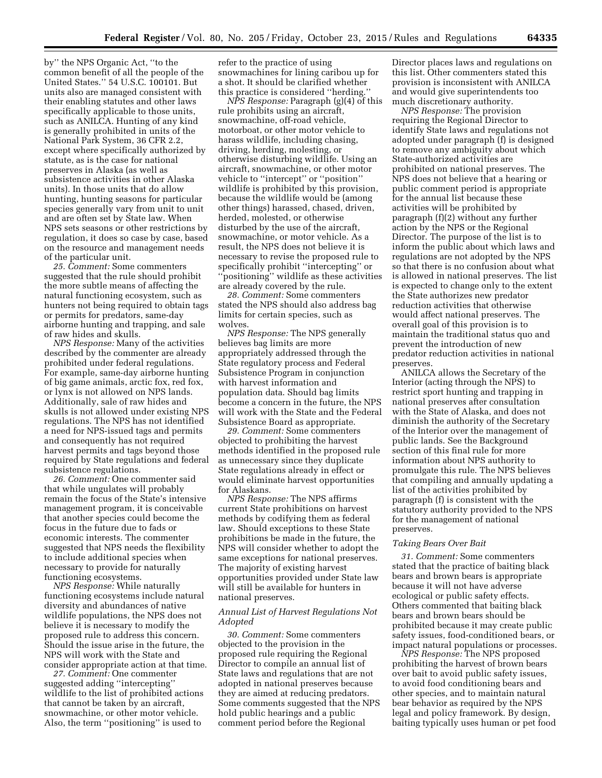by'' the NPS Organic Act, ''to the common benefit of all the people of the United States.'' 54 U.S.C. 100101. But units also are managed consistent with their enabling statutes and other laws specifically applicable to those units, such as ANILCA. Hunting of any kind is generally prohibited in units of the National Park System, 36 CFR 2.2, except where specifically authorized by statute, as is the case for national preserves in Alaska (as well as subsistence activities in other Alaska units). In those units that do allow hunting, hunting seasons for particular species generally vary from unit to unit and are often set by State law. When NPS sets seasons or other restrictions by regulation, it does so case by case, based on the resource and management needs of the particular unit.

*25. Comment:* Some commenters suggested that the rule should prohibit the more subtle means of affecting the natural functioning ecosystem, such as hunters not being required to obtain tags or permits for predators, same-day airborne hunting and trapping, and sale of raw hides and skulls.

*NPS Response:* Many of the activities described by the commenter are already prohibited under federal regulations. For example, same-day airborne hunting of big game animals, arctic fox, red fox, or lynx is not allowed on NPS lands. Additionally, sale of raw hides and skulls is not allowed under existing NPS regulations. The NPS has not identified a need for NPS-issued tags and permits and consequently has not required harvest permits and tags beyond those required by State regulations and federal subsistence regulations.

*26. Comment:* One commenter said that while ungulates will probably remain the focus of the State's intensive management program, it is conceivable that another species could become the focus in the future due to fads or economic interests. The commenter suggested that NPS needs the flexibility to include additional species when necessary to provide for naturally functioning ecosystems.

*NPS Response:* While naturally functioning ecosystems include natural diversity and abundances of native wildlife populations, the NPS does not believe it is necessary to modify the proposed rule to address this concern. Should the issue arise in the future, the NPS will work with the State and consider appropriate action at that time.

*27. Comment:* One commenter suggested adding ''intercepting'' wildlife to the list of prohibited actions that cannot be taken by an aircraft, snowmachine, or other motor vehicle. Also, the term ''positioning'' is used to

refer to the practice of using snowmachines for lining caribou up for a shot. It should be clarified whether this practice is considered ''herding.''

*NPS Response:* Paragraph (g)(4) of this rule prohibits using an aircraft, snowmachine, off-road vehicle, motorboat, or other motor vehicle to harass wildlife, including chasing, driving, herding, molesting, or otherwise disturbing wildlife. Using an aircraft, snowmachine, or other motor vehicle to ''intercept'' or ''position'' wildlife is prohibited by this provision, because the wildlife would be (among other things) harassed, chased, driven, herded, molested, or otherwise disturbed by the use of the aircraft, snowmachine, or motor vehicle. As a result, the NPS does not believe it is necessary to revise the proposed rule to specifically prohibit ''intercepting'' or ''positioning'' wildlife as these activities are already covered by the rule.

*28. Comment:* Some commenters stated the NPS should also address bag limits for certain species, such as wolves.

*NPS Response:* The NPS generally believes bag limits are more appropriately addressed through the State regulatory process and Federal Subsistence Program in conjunction with harvest information and population data. Should bag limits become a concern in the future, the NPS will work with the State and the Federal Subsistence Board as appropriate.

*29. Comment:* Some commenters objected to prohibiting the harvest methods identified in the proposed rule as unnecessary since they duplicate State regulations already in effect or would eliminate harvest opportunities for Alaskans.

*NPS Response:* The NPS affirms current State prohibitions on harvest methods by codifying them as federal law. Should exceptions to these State prohibitions be made in the future, the NPS will consider whether to adopt the same exceptions for national preserves. The majority of existing harvest opportunities provided under State law will still be available for hunters in national preserves.

## *Annual List of Harvest Regulations Not Adopted*

*30. Comment:* Some commenters objected to the provision in the proposed rule requiring the Regional Director to compile an annual list of State laws and regulations that are not adopted in national preserves because they are aimed at reducing predators. Some comments suggested that the NPS hold public hearings and a public comment period before the Regional

Director places laws and regulations on this list. Other commenters stated this provision is inconsistent with ANILCA and would give superintendents too much discretionary authority.

*NPS Response:* The provision requiring the Regional Director to identify State laws and regulations not adopted under paragraph (f) is designed to remove any ambiguity about which State-authorized activities are prohibited on national preserves. The NPS does not believe that a hearing or public comment period is appropriate for the annual list because these activities will be prohibited by paragraph (f)(2) without any further action by the NPS or the Regional Director. The purpose of the list is to inform the public about which laws and regulations are not adopted by the NPS so that there is no confusion about what is allowed in national preserves. The list is expected to change only to the extent the State authorizes new predator reduction activities that otherwise would affect national preserves. The overall goal of this provision is to maintain the traditional status quo and prevent the introduction of new predator reduction activities in national preserves.

ANILCA allows the Secretary of the Interior (acting through the NPS) to restrict sport hunting and trapping in national preserves after consultation with the State of Alaska, and does not diminish the authority of the Secretary of the Interior over the management of public lands. See the Background section of this final rule for more information about NPS authority to promulgate this rule. The NPS believes that compiling and annually updating a list of the activities prohibited by paragraph (f) is consistent with the statutory authority provided to the NPS for the management of national preserves.

#### *Taking Bears Over Bait*

*31. Comment:* Some commenters stated that the practice of baiting black bears and brown bears is appropriate because it will not have adverse ecological or public safety effects. Others commented that baiting black bears and brown bears should be prohibited because it may create public safety issues, food-conditioned bears, or impact natural populations or processes.

*NPS Response:* The NPS proposed prohibiting the harvest of brown bears over bait to avoid public safety issues, to avoid food conditioning bears and other species, and to maintain natural bear behavior as required by the NPS legal and policy framework. By design, baiting typically uses human or pet food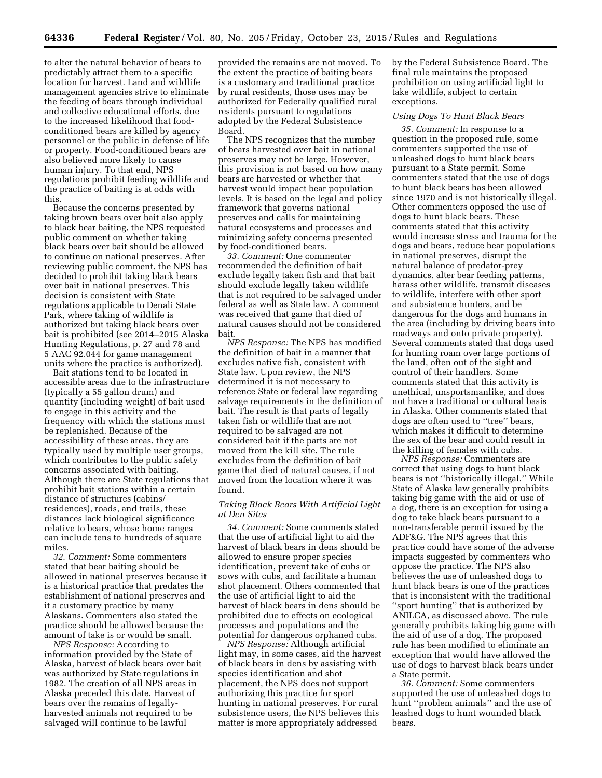to alter the natural behavior of bears to predictably attract them to a specific location for harvest. Land and wildlife management agencies strive to eliminate the feeding of bears through individual and collective educational efforts, due to the increased likelihood that foodconditioned bears are killed by agency personnel or the public in defense of life or property. Food-conditioned bears are also believed more likely to cause human injury. To that end, NPS regulations prohibit feeding wildlife and the practice of baiting is at odds with this.

Because the concerns presented by taking brown bears over bait also apply to black bear baiting, the NPS requested public comment on whether taking black bears over bait should be allowed to continue on national preserves. After reviewing public comment, the NPS has decided to prohibit taking black bears over bait in national preserves. This decision is consistent with State regulations applicable to Denali State Park, where taking of wildlife is authorized but taking black bears over bait is prohibited (see 2014–2015 Alaska Hunting Regulations, p. 27 and 78 and 5 AAC 92.044 for game management units where the practice is authorized).

Bait stations tend to be located in accessible areas due to the infrastructure (typically a 55 gallon drum) and quantity (including weight) of bait used to engage in this activity and the frequency with which the stations must be replenished. Because of the accessibility of these areas, they are typically used by multiple user groups, which contributes to the public safety concerns associated with baiting. Although there are State regulations that prohibit bait stations within a certain distance of structures (cabins/ residences), roads, and trails, these distances lack biological significance relative to bears, whose home ranges can include tens to hundreds of square miles.

*32. Comment:* Some commenters stated that bear baiting should be allowed in national preserves because it is a historical practice that predates the establishment of national preserves and it a customary practice by many Alaskans. Commenters also stated the practice should be allowed because the amount of take is or would be small.

*NPS Response:* According to information provided by the State of Alaska, harvest of black bears over bait was authorized by State regulations in 1982. The creation of all NPS areas in Alaska preceded this date. Harvest of bears over the remains of legallyharvested animals not required to be salvaged will continue to be lawful

provided the remains are not moved. To the extent the practice of baiting bears is a customary and traditional practice by rural residents, those uses may be authorized for Federally qualified rural residents pursuant to regulations adopted by the Federal Subsistence Board.

The NPS recognizes that the number of bears harvested over bait in national preserves may not be large. However, this provision is not based on how many bears are harvested or whether that harvest would impact bear population levels. It is based on the legal and policy framework that governs national preserves and calls for maintaining natural ecosystems and processes and minimizing safety concerns presented by food-conditioned bears.

*33. Comment:* One commenter recommended the definition of bait exclude legally taken fish and that bait should exclude legally taken wildlife that is not required to be salvaged under federal as well as State law. A comment was received that game that died of natural causes should not be considered bait.

*NPS Response:* The NPS has modified the definition of bait in a manner that excludes native fish, consistent with State law. Upon review, the NPS determined it is not necessary to reference State or federal law regarding salvage requirements in the definition of bait. The result is that parts of legally taken fish or wildlife that are not required to be salvaged are not considered bait if the parts are not moved from the kill site. The rule excludes from the definition of bait game that died of natural causes, if not moved from the location where it was found.

#### *Taking Black Bears With Artificial Light at Den Sites*

*34. Comment:* Some comments stated that the use of artificial light to aid the harvest of black bears in dens should be allowed to ensure proper species identification, prevent take of cubs or sows with cubs, and facilitate a human shot placement. Others commented that the use of artificial light to aid the harvest of black bears in dens should be prohibited due to effects on ecological processes and populations and the potential for dangerous orphaned cubs.

*NPS Response:* Although artificial light may, in some cases, aid the harvest of black bears in dens by assisting with species identification and shot placement, the NPS does not support authorizing this practice for sport hunting in national preserves. For rural subsistence users, the NPS believes this matter is more appropriately addressed

by the Federal Subsistence Board. The final rule maintains the proposed prohibition on using artificial light to take wildlife, subject to certain exceptions.

## *Using Dogs To Hunt Black Bears*

*35. Comment:* In response to a question in the proposed rule, some commenters supported the use of unleashed dogs to hunt black bears pursuant to a State permit. Some commenters stated that the use of dogs to hunt black bears has been allowed since 1970 and is not historically illegal. Other commenters opposed the use of dogs to hunt black bears. These comments stated that this activity would increase stress and trauma for the dogs and bears, reduce bear populations in national preserves, disrupt the natural balance of predator-prey dynamics, alter bear feeding patterns, harass other wildlife, transmit diseases to wildlife, interfere with other sport and subsistence hunters, and be dangerous for the dogs and humans in the area (including by driving bears into roadways and onto private property). Several comments stated that dogs used for hunting roam over large portions of the land, often out of the sight and control of their handlers. Some comments stated that this activity is unethical, unsportsmanlike, and does not have a traditional or cultural basis in Alaska. Other comments stated that dogs are often used to ''tree'' bears, which makes it difficult to determine the sex of the bear and could result in the killing of females with cubs.

*NPS Response:* Commenters are correct that using dogs to hunt black bears is not ''historically illegal.'' While State of Alaska law generally prohibits taking big game with the aid or use of a dog, there is an exception for using a dog to take black bears pursuant to a non-transferable permit issued by the ADF&G. The NPS agrees that this practice could have some of the adverse impacts suggested by commenters who oppose the practice. The NPS also believes the use of unleashed dogs to hunt black bears is one of the practices that is inconsistent with the traditional ''sport hunting'' that is authorized by ANILCA, as discussed above. The rule generally prohibits taking big game with the aid of use of a dog. The proposed rule has been modified to eliminate an exception that would have allowed the use of dogs to harvest black bears under a State permit.

*36. Comment:* Some commenters supported the use of unleashed dogs to hunt ''problem animals'' and the use of leashed dogs to hunt wounded black bears.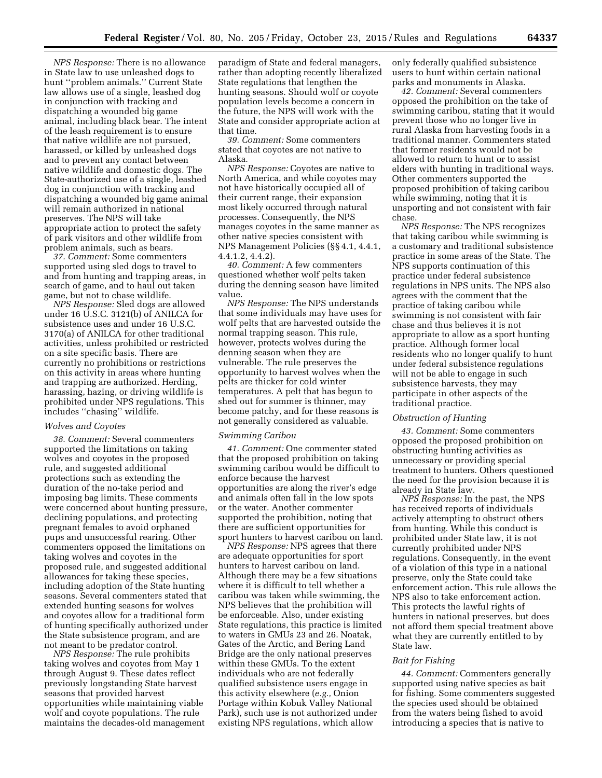*NPS Response:* There is no allowance in State law to use unleashed dogs to hunt ''problem animals.'' Current State law allows use of a single, leashed dog in conjunction with tracking and dispatching a wounded big game animal, including black bear. The intent of the leash requirement is to ensure that native wildlife are not pursued, harassed, or killed by unleashed dogs and to prevent any contact between native wildlife and domestic dogs. The State-authorized use of a single, leashed dog in conjunction with tracking and dispatching a wounded big game animal will remain authorized in national preserves. The NPS will take appropriate action to protect the safety of park visitors and other wildlife from problem animals, such as bears.

*37. Comment:* Some commenters supported using sled dogs to travel to and from hunting and trapping areas, in search of game, and to haul out taken game, but not to chase wildlife.

*NPS Response:* Sled dogs are allowed under 16 U.S.C. 3121(b) of ANILCA for subsistence uses and under 16 U.S.C. 3170(a) of ANILCA for other traditional activities, unless prohibited or restricted on a site specific basis. There are currently no prohibitions or restrictions on this activity in areas where hunting and trapping are authorized. Herding, harassing, hazing, or driving wildlife is prohibited under NPS regulations. This includes ''chasing'' wildlife.

### *Wolves and Coyotes*

*38. Comment:* Several commenters supported the limitations on taking wolves and coyotes in the proposed rule, and suggested additional protections such as extending the duration of the no-take period and imposing bag limits. These comments were concerned about hunting pressure, declining populations, and protecting pregnant females to avoid orphaned pups and unsuccessful rearing. Other commenters opposed the limitations on taking wolves and coyotes in the proposed rule, and suggested additional allowances for taking these species, including adoption of the State hunting seasons. Several commenters stated that extended hunting seasons for wolves and coyotes allow for a traditional form of hunting specifically authorized under the State subsistence program, and are not meant to be predator control.

*NPS Response:* The rule prohibits taking wolves and coyotes from May 1 through August 9. These dates reflect previously longstanding State harvest seasons that provided harvest opportunities while maintaining viable wolf and coyote populations. The rule maintains the decades-old management paradigm of State and federal managers, rather than adopting recently liberalized State regulations that lengthen the hunting seasons. Should wolf or coyote population levels become a concern in the future, the NPS will work with the State and consider appropriate action at that time.

*39. Comment:* Some commenters stated that coyotes are not native to Alaska.

*NPS Response:* Coyotes are native to North America, and while coyotes may not have historically occupied all of their current range, their expansion most likely occurred through natural processes. Consequently, the NPS manages coyotes in the same manner as other native species consistent with NPS Management Policies (§§ 4.1, 4.4.1, 4.4.1.2, 4.4.2).

*40. Comment:* A few commenters questioned whether wolf pelts taken during the denning season have limited value.

*NPS Response:* The NPS understands that some individuals may have uses for wolf pelts that are harvested outside the normal trapping season. This rule, however, protects wolves during the denning season when they are vulnerable. The rule preserves the opportunity to harvest wolves when the pelts are thicker for cold winter temperatures. A pelt that has begun to shed out for summer is thinner, may become patchy, and for these reasons is not generally considered as valuable.

### *Swimming Caribou*

*41. Comment:* One commenter stated that the proposed prohibition on taking swimming caribou would be difficult to enforce because the harvest opportunities are along the river's edge and animals often fall in the low spots or the water. Another commenter supported the prohibition, noting that there are sufficient opportunities for sport hunters to harvest caribou on land.

*NPS Response:* NPS agrees that there are adequate opportunities for sport hunters to harvest caribou on land. Although there may be a few situations where it is difficult to tell whether a caribou was taken while swimming, the NPS believes that the prohibition will be enforceable. Also, under existing State regulations, this practice is limited to waters in GMUs 23 and 26. Noatak, Gates of the Arctic, and Bering Land Bridge are the only national preserves within these GMUs. To the extent individuals who are not federally qualified subsistence users engage in this activity elsewhere (*e.g.,* Onion Portage within Kobuk Valley National Park), such use is not authorized under existing NPS regulations, which allow

only federally qualified subsistence users to hunt within certain national parks and monuments in Alaska.

*42. Comment:* Several commenters opposed the prohibition on the take of swimming caribou, stating that it would prevent those who no longer live in rural Alaska from harvesting foods in a traditional manner. Commenters stated that former residents would not be allowed to return to hunt or to assist elders with hunting in traditional ways. Other commenters supported the proposed prohibition of taking caribou while swimming, noting that it is unsporting and not consistent with fair chase.

*NPS Response:* The NPS recognizes that taking caribou while swimming is a customary and traditional subsistence practice in some areas of the State. The NPS supports continuation of this practice under federal subsistence regulations in NPS units. The NPS also agrees with the comment that the practice of taking caribou while swimming is not consistent with fair chase and thus believes it is not appropriate to allow as a sport hunting practice. Although former local residents who no longer qualify to hunt under federal subsistence regulations will not be able to engage in such subsistence harvests, they may participate in other aspects of the traditional practice.

#### *Obstruction of Hunting*

*43. Comment:* Some commenters opposed the proposed prohibition on obstructing hunting activities as unnecessary or providing special treatment to hunters. Others questioned the need for the provision because it is already in State law.

*NPS Response:* In the past, the NPS has received reports of individuals actively attempting to obstruct others from hunting. While this conduct is prohibited under State law, it is not currently prohibited under NPS regulations. Consequently, in the event of a violation of this type in a national preserve, only the State could take enforcement action. This rule allows the NPS also to take enforcement action. This protects the lawful rights of hunters in national preserves, but does not afford them special treatment above what they are currently entitled to by State law.

#### *Bait for Fishing*

*44. Comment:* Commenters generally supported using native species as bait for fishing. Some commenters suggested the species used should be obtained from the waters being fished to avoid introducing a species that is native to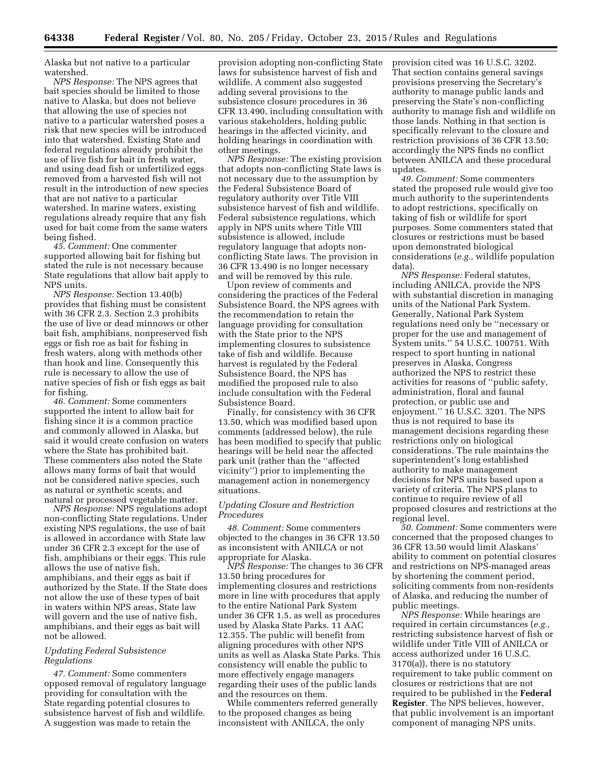Alaska but not native to a particular watershed.

*NPS Response:* The NPS agrees that bait species should be limited to those native to Alaska, but does not believe that allowing the use of species not native to a particular watershed poses a risk that new species will be introduced into that watershed. Existing State and federal regulations already prohibit the use of live fish for bait in fresh water, and using dead fish or unfertilized eggs removed from a harvested fish will not result in the introduction of new species that are not native to a particular watershed. In marine waters, existing regulations already require that any fish used for bait come from the same waters being fished.

*45. Comment:* One commenter supported allowing bait for fishing but stated the rule is not necessary because State regulations that allow bait apply to NPS units.

*NPS Response:* Section 13.40(b) provides that fishing must be consistent with 36 CFR 2.3. Section 2.3 prohibits the use of live or dead minnows or other bait fish, amphibians, nonpreserved fish eggs or fish roe as bait for fishing in fresh waters, along with methods other than hook and line. Consequently this rule is necessary to allow the use of native species of fish or fish eggs as bait for fishing.

*46. Comment:* Some commenters supported the intent to allow bait for fishing since it is a common practice and commonly allowed in Alaska, but said it would create confusion on waters where the State has prohibited bait. These commenters also noted the State allows many forms of bait that would not be considered native species, such as natural or synthetic scents, and natural or processed vegetable matter.

*NPS Response:* NPS regulations adopt non-conflicting State regulations. Under existing NPS regulations, the use of bait is allowed in accordance with State law under 36 CFR 2.3 except for the use of fish, amphibians or their eggs. This rule allows the use of native fish, amphibians, and their eggs as bait if authorized by the State. If the State does not allow the use of these types of bait in waters within NPS areas, State law will govern and the use of native fish, amphibians, and their eggs as bait will not be allowed.

### *Updating Federal Subsistence Regulations*

*47. Comment:* Some commenters opposed removal of regulatory language providing for consultation with the State regarding potential closures to subsistence harvest of fish and wildlife. A suggestion was made to retain the

provision adopting non-conflicting State laws for subsistence harvest of fish and wildlife. A comment also suggested adding several provisions to the subsistence closure procedures in 36 CFR 13.490, including consultation with various stakeholders, holding public hearings in the affected vicinity, and holding hearings in coordination with other meetings.

*NPS Response:* The existing provision that adopts non-conflicting State laws is not necessary due to the assumption by the Federal Subsistence Board of regulatory authority over Title VIII subsistence harvest of fish and wildlife. Federal subsistence regulations, which apply in NPS units where Title VIII subsistence is allowed, include regulatory language that adopts nonconflicting State laws. The provision in 36 CFR 13.490 is no longer necessary and will be removed by this rule.

Upon review of comments and considering the practices of the Federal Subsistence Board, the NPS agrees with the recommendation to retain the language providing for consultation with the State prior to the NPS implementing closures to subsistence take of fish and wildlife. Because harvest is regulated by the Federal Subsistence Board, the NPS has modified the proposed rule to also include consultation with the Federal Subsistence Board.

Finally, for consistency with 36 CFR 13.50, which was modified based upon comments (addressed below), the rule has been modified to specify that public hearings will be held near the affected park unit (rather than the ''affected vicinity'') prior to implementing the management action in nonemergency situations.

#### *Updating Closure and Restriction Procedures*

*48. Comment:* Some commenters objected to the changes in 36 CFR 13.50 as inconsistent with ANILCA or not appropriate for Alaska.

*NPS Response:* The changes to 36 CFR 13.50 bring procedures for implementing closures and restrictions more in line with procedures that apply to the entire National Park System under 36 CFR 1.5, as well as procedures used by Alaska State Parks. 11 AAC 12.355. The public will benefit from aligning procedures with other NPS units as well as Alaska State Parks. This consistency will enable the public to more effectively engage managers regarding their uses of the public lands and the resources on them.

While commenters referred generally to the proposed changes as being inconsistent with ANILCA, the only

provision cited was 16 U.S.C. 3202. That section contains general savings provisions preserving the Secretary's authority to manage public lands and preserving the State's non-conflicting authority to manage fish and wildlife on those lands. Nothing in that section is specifically relevant to the closure and restriction provisions of 36 CFR 13.50; accordingly the NPS finds no conflict between ANILCA and these procedural updates.

*49. Comment:* Some commenters stated the proposed rule would give too much authority to the superintendents to adopt restrictions, specifically on taking of fish or wildlife for sport purposes. Some commenters stated that closures or restrictions must be based upon demonstrated biological considerations (*e.g.,* wildlife population data).

*NPS Response:* Federal statutes, including ANILCA, provide the NPS with substantial discretion in managing units of the National Park System. Generally, National Park System regulations need only be ''necessary or proper for the use and management of System units.'' 54 U.S.C. 100751. With respect to sport hunting in national preserves in Alaska, Congress authorized the NPS to restrict these activities for reasons of ''public safety, administration, floral and faunal protection, or public use and enjoyment.'' 16 U.S.C. 3201. The NPS thus is not required to base its management decisions regarding these restrictions only on biological considerations. The rule maintains the superintendent's long established authority to make management decisions for NPS units based upon a variety of criteria. The NPS plans to continue to require review of all proposed closures and restrictions at the regional level.

*50. Comment:* Some commenters were concerned that the proposed changes to 36 CFR 13.50 would limit Alaskans' ability to comment on potential closures and restrictions on NPS-managed areas by shortening the comment period, soliciting comments from non-residents of Alaska, and reducing the number of public meetings.

*NPS Response:* While hearings are required in certain circumstances (*e.g.,*  restricting subsistence harvest of fish or wildlife under Title VIII of ANILCA or access authorized under 16 U.S.C. 3170(a)), there is no statutory requirement to take public comment on closures or restrictions that are not required to be published in the **Federal Register**. The NPS believes, however, that public involvement is an important component of managing NPS units.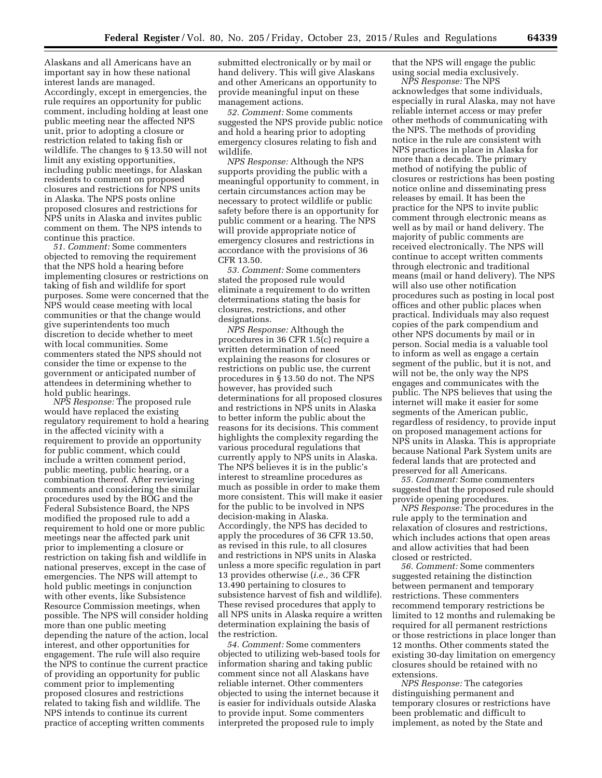Alaskans and all Americans have an important say in how these national interest lands are managed. Accordingly, except in emergencies, the rule requires an opportunity for public comment, including holding at least one public meeting near the affected NPS unit, prior to adopting a closure or restriction related to taking fish or wildlife. The changes to § 13.50 will not limit any existing opportunities, including public meetings, for Alaskan residents to comment on proposed closures and restrictions for NPS units in Alaska. The NPS posts online proposed closures and restrictions for NPS units in Alaska and invites public comment on them. The NPS intends to continue this practice.

*51. Comment:* Some commenters objected to removing the requirement that the NPS hold a hearing before implementing closures or restrictions on taking of fish and wildlife for sport purposes. Some were concerned that the NPS would cease meeting with local communities or that the change would give superintendents too much discretion to decide whether to meet with local communities. Some commenters stated the NPS should not consider the time or expense to the government or anticipated number of attendees in determining whether to hold public hearings.

*NPS Response:* The proposed rule would have replaced the existing regulatory requirement to hold a hearing in the affected vicinity with a requirement to provide an opportunity for public comment, which could include a written comment period, public meeting, public hearing, or a combination thereof. After reviewing comments and considering the similar procedures used by the BOG and the Federal Subsistence Board, the NPS modified the proposed rule to add a requirement to hold one or more public meetings near the affected park unit prior to implementing a closure or restriction on taking fish and wildlife in national preserves, except in the case of emergencies. The NPS will attempt to hold public meetings in conjunction with other events, like Subsistence Resource Commission meetings, when possible. The NPS will consider holding more than one public meeting depending the nature of the action, local interest, and other opportunities for engagement. The rule will also require the NPS to continue the current practice of providing an opportunity for public comment prior to implementing proposed closures and restrictions related to taking fish and wildlife. The NPS intends to continue its current practice of accepting written comments

submitted electronically or by mail or hand delivery. This will give Alaskans and other Americans an opportunity to provide meaningful input on these management actions.

*52. Comment:* Some comments suggested the NPS provide public notice and hold a hearing prior to adopting emergency closures relating to fish and wildlife.

*NPS Response:* Although the NPS supports providing the public with a meaningful opportunity to comment, in certain circumstances action may be necessary to protect wildlife or public safety before there is an opportunity for public comment or a hearing. The NPS will provide appropriate notice of emergency closures and restrictions in accordance with the provisions of 36 CFR 13.50.

*53. Comment:* Some commenters stated the proposed rule would eliminate a requirement to do written determinations stating the basis for closures, restrictions, and other designations.

*NPS Response:* Although the procedures in 36 CFR 1.5(c) require a written determination of need explaining the reasons for closures or restrictions on public use, the current procedures in § 13.50 do not. The NPS however, has provided such determinations for all proposed closures and restrictions in NPS units in Alaska to better inform the public about the reasons for its decisions. This comment highlights the complexity regarding the various procedural regulations that currently apply to NPS units in Alaska. The NPS believes it is in the public's interest to streamline procedures as much as possible in order to make them more consistent. This will make it easier for the public to be involved in NPS decision-making in Alaska. Accordingly, the NPS has decided to apply the procedures of 36 CFR 13.50, as revised in this rule, to all closures and restrictions in NPS units in Alaska unless a more specific regulation in part 13 provides otherwise (*i.e.,* 36 CFR 13.490 pertaining to closures to subsistence harvest of fish and wildlife). These revised procedures that apply to all NPS units in Alaska require a written determination explaining the basis of the restriction.

*54. Comment:* Some commenters objected to utilizing web-based tools for information sharing and taking public comment since not all Alaskans have reliable internet. Other commenters objected to using the internet because it is easier for individuals outside Alaska to provide input. Some commenters interpreted the proposed rule to imply

that the NPS will engage the public using social media exclusively.

*NPS Response:* The NPS acknowledges that some individuals, especially in rural Alaska, may not have reliable internet access or may prefer other methods of communicating with the NPS. The methods of providing notice in the rule are consistent with NPS practices in place in Alaska for more than a decade. The primary method of notifying the public of closures or restrictions has been posting notice online and disseminating press releases by email. It has been the practice for the NPS to invite public comment through electronic means as well as by mail or hand delivery. The majority of public comments are received electronically. The NPS will continue to accept written comments through electronic and traditional means (mail or hand delivery). The NPS will also use other notification procedures such as posting in local post offices and other public places when practical. Individuals may also request copies of the park compendium and other NPS documents by mail or in person. Social media is a valuable tool to inform as well as engage a certain segment of the public, but it is not, and will not be, the only way the NPS engages and communicates with the public. The NPS believes that using the internet will make it easier for some segments of the American public, regardless of residency, to provide input on proposed management actions for NPS units in Alaska. This is appropriate because National Park System units are federal lands that are protected and preserved for all Americans.

*55. Comment:* Some commenters suggested that the proposed rule should provide opening procedures.

*NPS Response:* The procedures in the rule apply to the termination and relaxation of closures and restrictions, which includes actions that open areas and allow activities that had been closed or restricted.

*56. Comment:* Some commenters suggested retaining the distinction between permanent and temporary restrictions. These commenters recommend temporary restrictions be limited to 12 months and rulemaking be required for all permanent restrictions or those restrictions in place longer than 12 months. Other comments stated the existing 30-day limitation on emergency closures should be retained with no extensions.

*NPS Response:* The categories distinguishing permanent and temporary closures or restrictions have been problematic and difficult to implement, as noted by the State and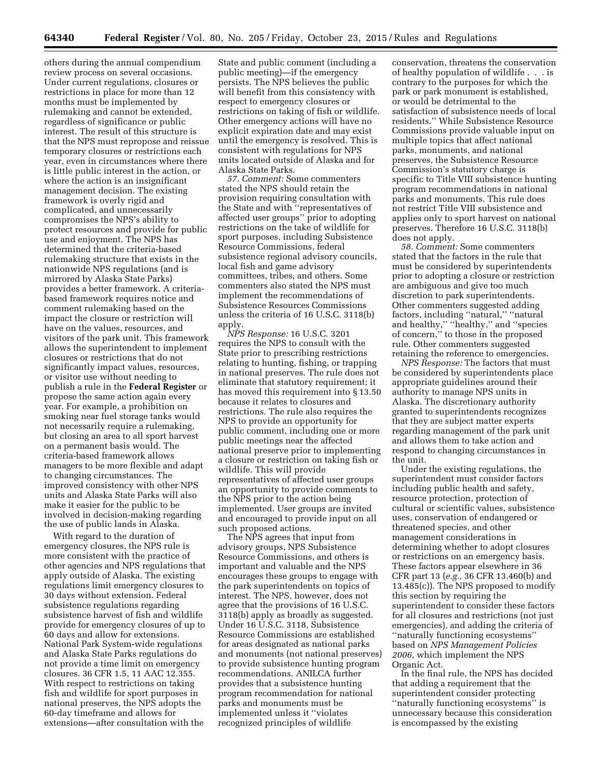others during the annual compendium review process on several occasions. Under current regulations, closures or restrictions in place for more than 12 months must be implemented by rulemaking and cannot be extended, regardless of significance or public interest. The result of this structure is that the NPS must repropose and reissue temporary closures or restrictions each year, even in circumstances where there is little public interest in the action, or where the action is an insignificant management decision. The existing framework is overly rigid and complicated, and unnecessarily compromises the NPS's ability to protect resources and provide for public use and enjoyment. The NPS has determined that the criteria-based rulemaking structure that exists in the nationwide NPS regulations (and is mirrored by Alaska State Parks) provides a better framework. A criteriabased framework requires notice and comment rulemaking based on the impact the closure or restriction will have on the values, resources, and visitors of the park unit. This framework allows the superintendent to implement closures or restrictions that do not significantly impact values, resources, or visitor use without needing to publish a rule in the **Federal Register** or propose the same action again every year. For example, a prohibition on smoking near fuel storage tanks would not necessarily require a rulemaking, but closing an area to all sport harvest on a permanent basis would. The criteria-based framework allows managers to be more flexible and adapt to changing circumstances. The improved consistency with other NPS units and Alaska State Parks will also make it easier for the public to be involved in decision-making regarding the use of public lands in Alaska.

With regard to the duration of emergency closures, the NPS rule is more consistent with the practice of other agencies and NPS regulations that apply outside of Alaska. The existing regulations limit emergency closures to 30 days without extension. Federal subsistence regulations regarding subsistence harvest of fish and wildlife provide for emergency closures of up to 60 days and allow for extensions. National Park System-wide regulations and Alaska State Parks regulations do not provide a time limit on emergency closures. 36 CFR 1.5, 11 AAC 12.355. With respect to restrictions on taking fish and wildlife for sport purposes in national preserves, the NPS adopts the 60-day timeframe and allows for extensions—after consultation with the

State and public comment (including a public meeting)—if the emergency persists. The NPS believes the public will benefit from this consistency with respect to emergency closures or restrictions on taking of fish or wildlife. Other emergency actions will have no explicit expiration date and may exist until the emergency is resolved. This is consistent with regulations for NPS units located outside of Alaska and for Alaska State Parks.

*57. Comment:* Some commenters stated the NPS should retain the provision requiring consultation with the State and with ''representatives of affected user groups'' prior to adopting restrictions on the take of wildlife for sport purposes, including Subsistence Resource Commissions, federal subsistence regional advisory councils, local fish and game advisory committees, tribes, and others. Some commenters also stated the NPS must implement the recommendations of Subsistence Resources Commissions unless the criteria of 16 U.S.C. 3118(b) apply.

*NPS Response:* 16 U.S.C. 3201 requires the NPS to consult with the State prior to prescribing restrictions relating to hunting, fishing, or trapping in national preserves. The rule does not eliminate that statutory requirement; it has moved this requirement into § 13.50 because it relates to closures and restrictions. The rule also requires the NPS to provide an opportunity for public comment, including one or more public meetings near the affected national preserve prior to implementing a closure or restriction on taking fish or wildlife. This will provide representatives of affected user groups an opportunity to provide comments to the NPS prior to the action being implemented. User groups are invited and encouraged to provide input on all such proposed actions.

The NPS agrees that input from advisory groups, NPS Subsistence Resource Commissions, and others is important and valuable and the NPS encourages these groups to engage with the park superintendents on topics of interest. The NPS, however, does not agree that the provisions of 16 U.S.C. 3118(b) apply as broadly as suggested. Under 16 U.S.C. 3118, Subsistence Resource Commissions are established for areas designated as national parks and monuments (not national preserves) to provide subsistence hunting program recommendations. ANILCA further provides that a subsistence hunting program recommendation for national parks and monuments must be implemented unless it ''violates recognized principles of wildlife

conservation, threatens the conservation of healthy population of wildlife . . . is contrary to the purposes for which the park or park monument is established, or would be detrimental to the satisfaction of subsistence needs of local residents.'' While Subsistence Resource Commissions provide valuable input on multiple topics that affect national parks, monuments, and national preserves, the Subsistence Resource Commission's statutory charge is specific to Title VIII subsistence hunting program recommendations in national parks and monuments. This rule does not restrict Title VIII subsistence and applies only to sport harvest on national preserves. Therefore 16 U.S.C. 3118(b) does not apply.

*58. Comment:* Some commenters stated that the factors in the rule that must be considered by superintendents prior to adopting a closure or restriction are ambiguous and give too much discretion to park superintendents. Other commenters suggested adding factors, including ''natural,'' ''natural and healthy," "healthy," and "species of concern,'' to those in the proposed rule. Other commenters suggested retaining the reference to emergencies.

*NPS Response:* The factors that must be considered by superintendents place appropriate guidelines around their authority to manage NPS units in Alaska. The discretionary authority granted to superintendents recognizes that they are subject matter experts regarding management of the park unit and allows them to take action and respond to changing circumstances in the unit.

Under the existing regulations, the superintendent must consider factors including public health and safety, resource protection, protection of cultural or scientific values, subsistence uses, conservation of endangered or threatened species, and other management considerations in determining whether to adopt closures or restrictions on an emergency basis. These factors appear elsewhere in 36 CFR part 13 (*e.g.,* 36 CFR 13.460(b) and 13.485(c)). The NPS proposed to modify this section by requiring the superintendent to consider these factors for all closures and restrictions (not just emergencies), and adding the criteria of ''naturally functioning ecosystems'' based on *NPS Management Policies 2006,* which implement the NPS Organic Act.

In the final rule, the NPS has decided that adding a requirement that the superintendent consider protecting ''naturally functioning ecosystems'' is unnecessary because this consideration is encompassed by the existing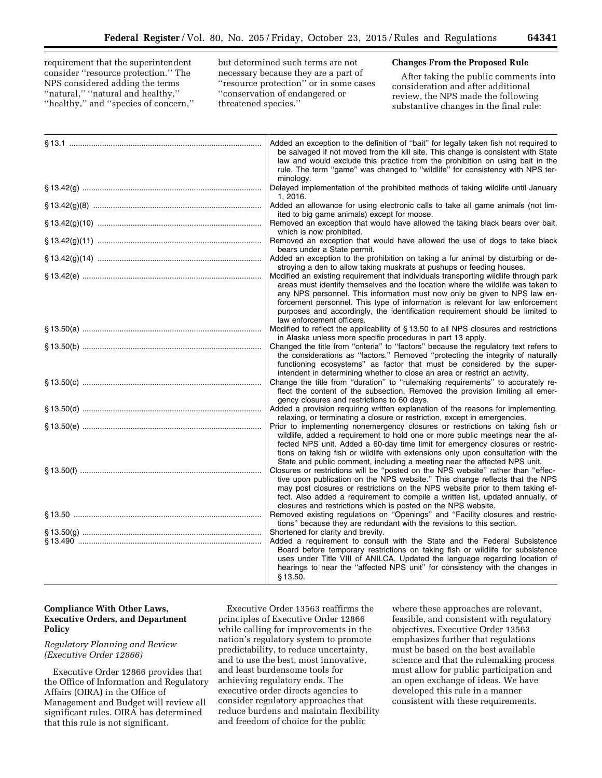requirement that the superintendent consider ''resource protection.'' The NPS considered adding the terms ''natural,'' ''natural and healthy,'' ''healthy,'' and ''species of concern,'' but determined such terms are not necessary because they are a part of ''resource protection'' or in some cases ''conservation of endangered or threatened species.''

## **Changes From the Proposed Rule**

After taking the public comments into consideration and after additional review, the NPS made the following substantive changes in the final rule:

| Added an exception to the definition of "bait" for legally taken fish not required to<br>be salvaged if not moved from the kill site. This change is consistent with State<br>law and would exclude this practice from the prohibition on using bait in the<br>rule. The term "game" was changed to "wildlife" for consistency with NPS ter-<br>minology.                                                                                           |
|-----------------------------------------------------------------------------------------------------------------------------------------------------------------------------------------------------------------------------------------------------------------------------------------------------------------------------------------------------------------------------------------------------------------------------------------------------|
| Delayed implementation of the prohibited methods of taking wildlife until January<br>1, 2016.                                                                                                                                                                                                                                                                                                                                                       |
| Added an allowance for using electronic calls to take all game animals (not lim-<br>ited to big game animals) except for moose.                                                                                                                                                                                                                                                                                                                     |
| Removed an exception that would have allowed the taking black bears over bait,<br>which is now prohibited.                                                                                                                                                                                                                                                                                                                                          |
| Removed an exception that would have allowed the use of dogs to take black<br>bears under a State permit.                                                                                                                                                                                                                                                                                                                                           |
| Added an exception to the prohibition on taking a fur animal by disturbing or de-<br>stroying a den to allow taking muskrats at pushups or feeding houses.                                                                                                                                                                                                                                                                                          |
| Modified an existing requirement that individuals transporting wildlife through park<br>areas must identify themselves and the location where the wildlife was taken to<br>any NPS personnel. This information must now only be given to NPS law en-<br>forcement personnel. This type of information is relevant for law enforcement<br>purposes and accordingly, the identification requirement should be limited to<br>law enforcement officers. |
| Modified to reflect the applicability of §13.50 to all NPS closures and restrictions                                                                                                                                                                                                                                                                                                                                                                |
| in Alaska unless more specific procedures in part 13 apply.<br>Changed the title from "criteria" to "factors" because the regulatory text refers to<br>the considerations as "factors." Removed "protecting the integrity of naturally<br>functioning ecosystems" as factor that must be considered by the super-                                                                                                                                   |
| intendent in determining whether to close an area or restrict an activity.<br>Change the title from "duration" to "rulemaking requirements" to accurately re-<br>flect the content of the subsection. Removed the provision limiting all emer-<br>gency closures and restrictions to 60 days.                                                                                                                                                       |
| Added a provision requiring written explanation of the reasons for implementing.<br>relaxing, or terminating a closure or restriction, except in emergencies.                                                                                                                                                                                                                                                                                       |
| Prior to implementing nonemergency closures or restrictions on taking fish or<br>wildlife, added a requirement to hold one or more public meetings near the af-<br>fected NPS unit. Added a 60-day time limit for emergency closures or restric-<br>tions on taking fish or wildlife with extensions only upon consultation with the<br>State and public comment, including a meeting near the affected NPS unit.                                   |
| Closures or restrictions will be "posted on the NPS website" rather than "effec-<br>tive upon publication on the NPS website." This change reflects that the NPS<br>may post closures or restrictions on the NPS website prior to them taking ef-<br>fect. Also added a requirement to compile a written list, updated annually, of<br>closures and restrictions which is posted on the NPS website.                                                |
| Removed existing regulations on "Openings" and "Facility closures and restric-<br>tions" because they are redundant with the revisions to this section.                                                                                                                                                                                                                                                                                             |
| Shortened for clarity and brevity.<br>Added a requirement to consult with the State and the Federal Subsistence<br>Board before temporary restrictions on taking fish or wildlife for subsistence<br>uses under Title VIII of ANILCA. Updated the language regarding location of<br>hearings to near the "affected NPS unit" for consistency with the changes in<br>§13.50.                                                                         |

# **Compliance With Other Laws, Executive Orders, and Department Policy**

# *Regulatory Planning and Review (Executive Order 12866)*

Executive Order 12866 provides that the Office of Information and Regulatory Affairs (OIRA) in the Office of Management and Budget will review all significant rules. OIRA has determined that this rule is not significant.

Executive Order 13563 reaffirms the principles of Executive Order 12866 while calling for improvements in the nation's regulatory system to promote predictability, to reduce uncertainty, and to use the best, most innovative, and least burdensome tools for achieving regulatory ends. The executive order directs agencies to consider regulatory approaches that reduce burdens and maintain flexibility and freedom of choice for the public

where these approaches are relevant, feasible, and consistent with regulatory objectives. Executive Order 13563 emphasizes further that regulations must be based on the best available science and that the rulemaking process must allow for public participation and an open exchange of ideas. We have developed this rule in a manner consistent with these requirements.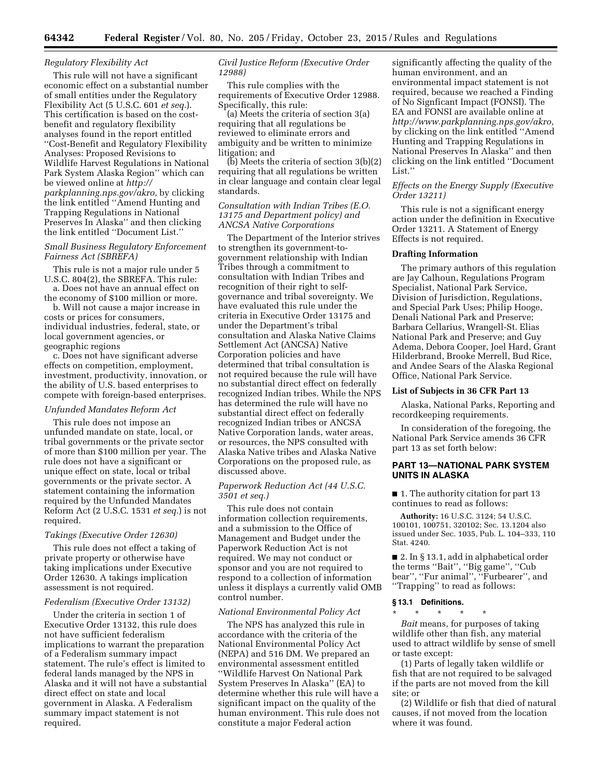### *Regulatory Flexibility Act*

This rule will not have a significant economic effect on a substantial number of small entities under the Regulatory Flexibility Act (5 U.S.C. 601 *et seq.*). This certification is based on the costbenefit and regulatory flexibility analyses found in the report entitled ''Cost-Benefit and Regulatory Flexibility Analyses: Proposed Revisions to Wildlife Harvest Regulations in National Park System Alaska Region'' which can be viewed online at *[http://](http://parkplanning.nps.gov/akro) [parkplanning.nps.gov/akro,](http://parkplanning.nps.gov/akro)* by clicking the link entitled ''Amend Hunting and Trapping Regulations in National Preserves In Alaska'' and then clicking the link entitled ''Document List.''

## *Small Business Regulatory Enforcement Fairness Act (SBREFA)*

This rule is not a major rule under 5 U.S.C. 804(2), the SBREFA. This rule: a. Does not have an annual effect on

the economy of \$100 million or more.

b. Will not cause a major increase in costs or prices for consumers, individual industries, federal, state, or local government agencies, or geographic regions

c. Does not have significant adverse effects on competition, employment, investment, productivity, innovation, or the ability of U.S. based enterprises to compete with foreign-based enterprises.

### *Unfunded Mandates Reform Act*

This rule does not impose an unfunded mandate on state, local, or tribal governments or the private sector of more than \$100 million per year. The rule does not have a significant or unique effect on state, local or tribal governments or the private sector. A statement containing the information required by the Unfunded Mandates Reform Act (2 U.S.C. 1531 *et seq.*) is not required.

#### *Takings (Executive Order 12630)*

This rule does not effect a taking of private property or otherwise have taking implications under Executive Order 12630. A takings implication assessment is not required.

#### *Federalism (Executive Order 13132)*

Under the criteria in section 1 of Executive Order 13132, this rule does not have sufficient federalism implications to warrant the preparation of a Federalism summary impact statement. The rule's effect is limited to federal lands managed by the NPS in Alaska and it will not have a substantial direct effect on state and local government in Alaska. A Federalism summary impact statement is not required.

## *Civil Justice Reform (Executive Order 12988)*

This rule complies with the requirements of Executive Order 12988. Specifically, this rule:

(a) Meets the criteria of section 3(a) requiring that all regulations be reviewed to eliminate errors and ambiguity and be written to minimize litigation; and

(b) Meets the criteria of section 3(b)(2) requiring that all regulations be written in clear language and contain clear legal standards.

## *Consultation with Indian Tribes (E.O. 13175 and Department policy) and ANCSA Native Corporations*

The Department of the Interior strives to strengthen its government-togovernment relationship with Indian Tribes through a commitment to consultation with Indian Tribes and recognition of their right to selfgovernance and tribal sovereignty. We have evaluated this rule under the criteria in Executive Order 13175 and under the Department's tribal consultation and Alaska Native Claims Settlement Act (ANCSA) Native Corporation policies and have determined that tribal consultation is not required because the rule will have no substantial direct effect on federally recognized Indian tribes. While the NPS has determined the rule will have no substantial direct effect on federally recognized Indian tribes or ANCSA Native Corporation lands, water areas, or resources, the NPS consulted with Alaska Native tribes and Alaska Native Corporations on the proposed rule, as discussed above.

#### *Paperwork Reduction Act (44 U.S.C. 3501 et seq.)*

This rule does not contain information collection requirements, and a submission to the Office of Management and Budget under the Paperwork Reduction Act is not required. We may not conduct or sponsor and you are not required to respond to a collection of information unless it displays a currently valid OMB control number.

#### *National Environmental Policy Act*

The NPS has analyzed this rule in accordance with the criteria of the National Environmental Policy Act (NEPA) and 516 DM. We prepared an environmental assessment entitled ''Wildlife Harvest On National Park System Preserves In Alaska'' (EA) to determine whether this rule will have a significant impact on the quality of the human environment. This rule does not constitute a major Federal action

significantly affecting the quality of the human environment, and an environmental impact statement is not required, because we reached a Finding of No Signficant Impact (FONSI). The EA and FONSI are available online at *[http://www.parkplanning.nps.gov/akro,](http://www.parkplanning.nps.gov/akro)*  by clicking on the link entitled ''Amend Hunting and Trapping Regulations in National Preserves In Alaska'' and then clicking on the link entitled ''Document List.'

#### *Effects on the Energy Supply (Executive Order 13211)*

This rule is not a significant energy action under the definition in Executive Order 13211. A Statement of Energy Effects is not required.

### **Drafting Information**

The primary authors of this regulation are Jay Calhoun, Regulations Program Specialist, National Park Service, Division of Jurisdiction, Regulations, and Special Park Uses; Philip Hooge, Denali National Park and Preserve; Barbara Cellarius, Wrangell-St. Elias National Park and Preserve; and Guy Adema, Debora Cooper, Joel Hard, Grant Hilderbrand, Brooke Merrell, Bud Rice, and Andee Sears of the Alaska Regional Office, National Park Service.

#### **List of Subjects in 36 CFR Part 13**

Alaska, National Parks, Reporting and recordkeeping requirements.

In consideration of the foregoing, the National Park Service amends 36 CFR part 13 as set forth below:

## **PART 13—NATIONAL PARK SYSTEM UNITS IN ALASKA**

■ 1. The authority citation for part 13 continues to read as follows:

**Authority:** 16 U.S.C. 3124; 54 U.S.C. 100101, 100751, 320102; Sec. 13.1204 also issued under Sec. 1035, Pub. L. 104–333, 110 Stat. 4240.

■ 2. In § 13.1, add in alphabetical order the terms ''Bait'', ''Big game'', ''Cub bear'', ''Fur animal'', ''Furbearer'', and ''Trapping'' to read as follows:

#### **§ 13.1 Definitions.**

\* \* \* \* \* *Bait* means, for purposes of taking wildlife other than fish, any material used to attract wildlife by sense of smell or taste except:

(1) Parts of legally taken wildlife or fish that are not required to be salvaged if the parts are not moved from the kill site; or

(2) Wildlife or fish that died of natural causes, if not moved from the location where it was found.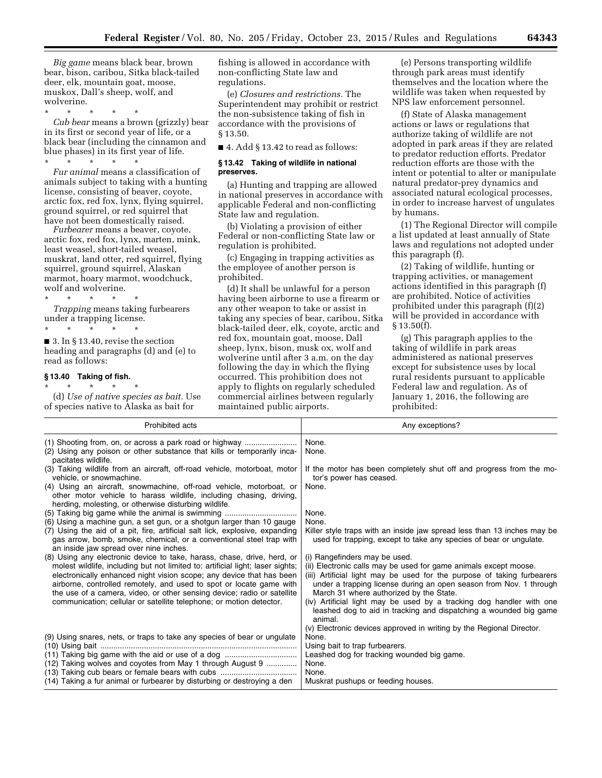*Big game* means black bear, brown bear, bison, caribou, Sitka black-tailed deer, elk, mountain goat, moose, muskox, Dall's sheep, wolf, and wolverine.

\* \* \* \* \* *Cub bear* means a brown (grizzly) bear in its first or second year of life, or a black bear (including the cinnamon and blue phases) in its first year of life. \* \* \* \* \*

*Fur animal* means a classification of animals subject to taking with a hunting license, consisting of beaver, coyote, arctic fox, red fox, lynx, flying squirrel, ground squirrel, or red squirrel that have not been domestically raised.

*Furbearer* means a beaver, coyote, arctic fox, red fox, lynx, marten, mink, least weasel, short-tailed weasel, muskrat, land otter, red squirrel, flying squirrel, ground squirrel, Alaskan marmot, hoary marmot, woodchuck, wolf and wolverine.

\* \* \* \* \* *Trapping* means taking furbearers under a trapping license.

\* \* \* \* \* ■ 3. In § 13.40, revise the section heading and paragraphs (d) and (e) to read as follows:

#### **§ 13.40 Taking of fish.**

\* \* \* \* \* (d) *Use of native species as bait.* Use of species native to Alaska as bait for

fishing is allowed in accordance with non-conflicting State law and regulations.

(e) *Closures and restrictions.* The Superintendent may prohibit or restrict the non-subsistence taking of fish in accordance with the provisions of § 13.50.

■ 4. Add § 13.42 to read as follows:

#### **§ 13.42 Taking of wildlife in national preserves.**

(a) Hunting and trapping are allowed in national preserves in accordance with applicable Federal and non-conflicting State law and regulation.

(b) Violating a provision of either Federal or non-conflicting State law or regulation is prohibited.

(c) Engaging in trapping activities as the employee of another person is prohibited.

(d) It shall be unlawful for a person having been airborne to use a firearm or any other weapon to take or assist in taking any species of bear, caribou, Sitka black-tailed deer, elk, coyote, arctic and red fox, mountain goat, moose, Dall sheep, lynx, bison, musk ox, wolf and wolverine until after 3 a.m. on the day following the day in which the flying occurred. This prohibition does not apply to flights on regularly scheduled commercial airlines between regularly maintained public airports.

(e) Persons transporting wildlife through park areas must identify themselves and the location where the wildlife was taken when requested by NPS law enforcement personnel.

(f) State of Alaska management actions or laws or regulations that authorize taking of wildlife are not adopted in park areas if they are related to predator reduction efforts. Predator reduction efforts are those with the intent or potential to alter or manipulate natural predator-prey dynamics and associated natural ecological processes, in order to increase harvest of ungulates by humans.

(1) The Regional Director will compile a list updated at least annually of State laws and regulations not adopted under this paragraph (f).

(2) Taking of wildlife, hunting or trapping activities, or management actions identified in this paragraph (f) are prohibited. Notice of activities prohibited under this paragraph (f)(2) will be provided in accordance with  $§ 13.50(f).$ 

(g) This paragraph applies to the taking of wildlife in park areas administered as national preserves except for subsistence uses by local rural residents pursuant to applicable Federal law and regulation. As of January 1, 2016, the following are prohibited:

| <b>Prohibited acts</b>                                                                                                                                                                                                                                                                                                                                                              | Any exceptions?                                                                                                                                                                                                                                                                               |
|-------------------------------------------------------------------------------------------------------------------------------------------------------------------------------------------------------------------------------------------------------------------------------------------------------------------------------------------------------------------------------------|-----------------------------------------------------------------------------------------------------------------------------------------------------------------------------------------------------------------------------------------------------------------------------------------------|
| (1) Shooting from, on, or across a park road or highway<br>(2) Using any poison or other substance that kills or temporarily inca-<br>pacitates wildlife.                                                                                                                                                                                                                           | None.<br>None.                                                                                                                                                                                                                                                                                |
| (3) Taking wildlife from an aircraft, off-road vehicle, motorboat, motor<br>vehicle, or snowmachine.                                                                                                                                                                                                                                                                                | If the motor has been completely shut off and progress from the mo-<br>tor's power has ceased.                                                                                                                                                                                                |
| (4) Using an aircraft, snowmachine, off-road vehicle, motorboat, or<br>other motor vehicle to harass wildlife, including chasing, driving,<br>herding, molesting, or otherwise disturbing wildlife.                                                                                                                                                                                 | None.                                                                                                                                                                                                                                                                                         |
| (5) Taking big game while the animal is swimming                                                                                                                                                                                                                                                                                                                                    | None.                                                                                                                                                                                                                                                                                         |
| (6) Using a machine gun, a set gun, or a shotgun larger than 10 gauge                                                                                                                                                                                                                                                                                                               | None.                                                                                                                                                                                                                                                                                         |
| (7) Using the aid of a pit, fire, artificial salt lick, explosive, expanding<br>gas arrow, bomb, smoke, chemical, or a conventional steel trap with<br>an inside jaw spread over nine inches.                                                                                                                                                                                       | Killer style traps with an inside jaw spread less than 13 inches may be<br>used for trapping, except to take any species of bear or ungulate.                                                                                                                                                 |
| (8) Using any electronic device to take, harass, chase, drive, herd, or<br>molest wildlife, including but not limited to: artificial light; laser sights;<br>electronically enhanced night vision scope; any device that has been<br>airborne, controlled remotely, and used to spot or locate game with<br>the use of a camera, video, or other sensing device; radio or satellite | (i) Rangefinders may be used.<br>(ii) Electronic calls may be used for game animals except moose.<br>(iii) Artificial light may be used for the purpose of taking furbearers<br>under a trapping license during an open season from Nov. 1 through<br>March 31 where authorized by the State. |
| communication; cellular or satellite telephone; or motion detector.                                                                                                                                                                                                                                                                                                                 | (iv) Artificial light may be used by a tracking dog handler with one<br>leashed dog to aid in tracking and dispatching a wounded big game<br>animal.                                                                                                                                          |
| (9) Using snares, nets, or traps to take any species of bear or ungulate                                                                                                                                                                                                                                                                                                            | (v) Electronic devices approved in writing by the Regional Director.<br>None.                                                                                                                                                                                                                 |
|                                                                                                                                                                                                                                                                                                                                                                                     | Using bait to trap furbearers.                                                                                                                                                                                                                                                                |
| (11) Taking big game with the aid or use of a dog                                                                                                                                                                                                                                                                                                                                   | Leashed dog for tracking wounded big game.                                                                                                                                                                                                                                                    |
| (12) Taking wolves and coyotes from May 1 through August 9                                                                                                                                                                                                                                                                                                                          | None.                                                                                                                                                                                                                                                                                         |
| (13) Taking cub bears or female bears with cubs                                                                                                                                                                                                                                                                                                                                     | None.                                                                                                                                                                                                                                                                                         |
| (14) Taking a fur animal or furbearer by disturbing or destroying a den                                                                                                                                                                                                                                                                                                             | Muskrat pushups or feeding houses.                                                                                                                                                                                                                                                            |